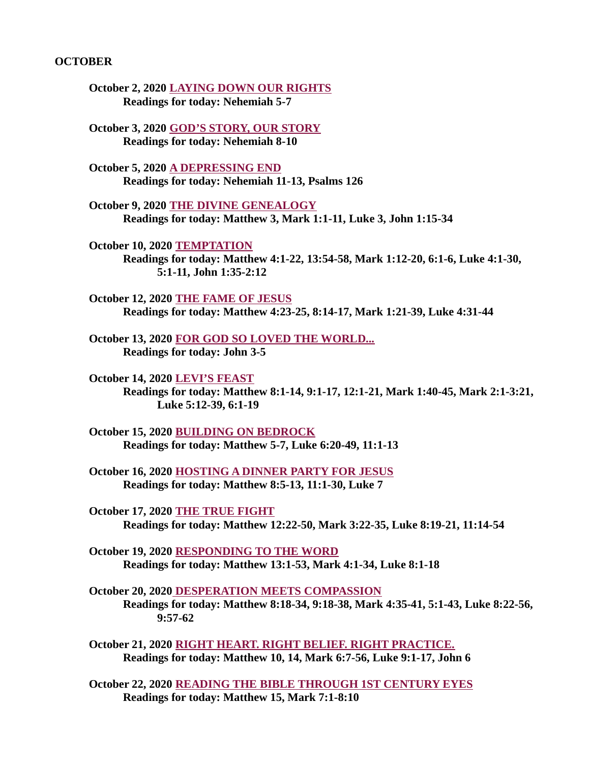#### **OCTOBER**

- [October 2, 2020 LAYING DOWN OUR RIGHTS](#page-2-0) Readings for today: Nehemiah 5-7
- [October 3, 2020 GOD'S STORY, OUR STORY](#page-4-0) Readings for today: Nehemiah 8-10
- October 5, 2020 A DEPRESSING END [Readings for today: Nehemiah 11-13, Psalms 126](#page-6-0)
- October 9, 2020 THE DIVINE GENEALOGY [Readings for today: Matthew 3, Mark 1:1-11, Luke 3, John 1:15-34](#page-7-0)
- October 10, 2020 TEMPTATION [Readings for today: Matthew 4:1-22, 13:54-58, Mark 1:12-20, 6:1-6, Luke 4:1-30,](#page-8-0)  5:1-11, John 1:35-2:12
- October 12, 2020 THE FAME OF JESUS [Readings for today: Matthew 4:23-25, 8:14-17, Mark 1:21-39, Luke 4:31-44](#page-10-0)
- [October 13, 2020 FOR GOD SO LOVED THE WORLD...](#page-11-0) Readings for today: John 3-5
- October 14, 2020 LEVI'S FEAST [Readings for today: Matthew 8:1-14, 9:1-17, 12:1-21, Mark 1:40-45, Mark 2:1-3:21,](#page-13-0) Luke 5:12-39, 6:1-19
- October 15, 2020 BUILDING ON BEDROCK [Readings for today: Matthew 5-7, Luke 6:20-49, 11:1-13](#page-14-0)
- [October 16, 2020 HOSTING A DINNER PARTY FOR JESUS](#page-16-0) Readings for today: Matthew 8:5-13, 11:1-30, Luke 7
- October 17, 2020 THE TRUE FIGHT [Readings for today: Matthew 12:22-50, Mark 3:22-35, Luke 8:19-21, 11:14-54](#page-17-0)
- October 19, 2020 RESPONDING TO THE WORD [Readings for today: Matthew 13:1-53, Mark 4:1-34, Luke 8:1-18](#page-18-0)
- October 20, 2020 DESPERATION MEETS COMPASSION [Readings for today: Matthew 8:18-34, 9:18-38, Mark 4:35-41, 5:1-43, Luke 8:22-56,](#page-19-0) 9:57-62
- [October 21, 2020 RIGHT HEART. RIGHT BELIEF. RIGHT PRACTICE.](#page-20-0) Readings for today: Matthew 10, 14, Mark 6:7-56, Luke 9:1-17, John 6
- [October 22, 2020 READING THE BIBLE THROUGH 1ST CENTURY EYES](#page-22-0) Readings for today: Matthew 15, Mark 7:1-8:10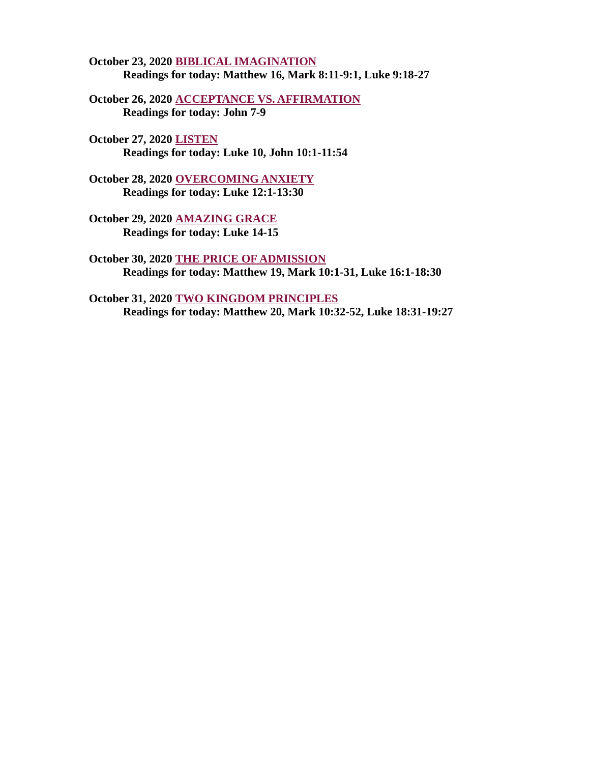- October 23, 2020 BIBLICAL IMAGINATION [Readings for today: Matthew 16, Mark 8:11-9:1, Luke 9:18-27](#page-22-0)
- [October 26, 2020 ACCEPTANCE VS. AFFIRMATION](#page-26-0) Readings for today: John 7-9
- October 27, 2020 LISTEN [Readings for today: Luke 10, John 10:1-11:54](#page-27-0)
- [October 28, 2020 OVERCOMING ANXIETY](#page-28-0) Readings for today: Luke 12:1-13:30
- [October 29, 2020 AMAZING GRACE](#page-30-0) Readings for today: Luke 14-15
- October 30, 2020 THE PRICE OF ADMISSION [Readings for today: Matthew 19, Mark 10:1-31, Luke 16:1-18:30](#page-31-0)
- October 31, 2020 TWO KINGDOM PRINCIPLES [Readings for today: Matthew 20, Mark 10:32-52, Luke 18:31-19:27](#page-33-0)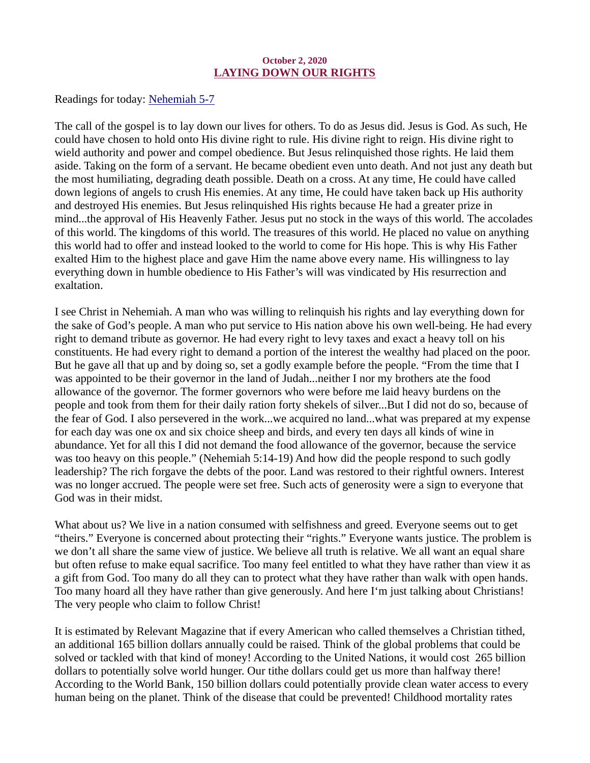#### October 2, 2020 LAYING DOWN OUR RIGHTS

<span id="page-2-0"></span>Readings for today: [Nehemiah 5-7](https://www.biblegateway.com/passage/?search=Nehemiah+5-7&version=ESV)

The call of the gospel is to lay down our lives for others. To do as Jesus did. Jesus is God. As such, He could have chosen to hold onto His divine right to rule. His divine right to reign. His divine right to wield authority and power and compel obedience. But Jesus relinquished those rights. He laid them aside. Taking on the form of a servant. He became obedient even unto death. And not just any death but the most humiliating, degrading death possible. Death on a cross. At any time, He could have called down legions of angels to crush His enemies. At any time, He could have taken back up His authority and destroyed His enemies. But Jesus relinquished His rights because He had a greater prize in mind...the approval of His Heavenly Father. Jesus put no stock in the ways of this world. The accolades of this world. The kingdoms of this world. The treasures of this world. He placed no value on anything this world had to offer and instead looked to the world to come for His hope. This is why His Father exalted Him to the highest place and gave Him the name above every name. His willingness to lay everything down in humble obedience to His Father's will was vindicated by His resurrection and exaltation.

I see Christ in Nehemiah. A man who was willing to relinquish his rights and lay everything down for the sake of God's people. A man who put service to His nation above his own well-being. He had every right to demand tribute as governor. He had every right to levy taxes and exact a heavy toll on his constituents. He had every right to demand a portion of the interest the wealthy had placed on the poor. But he gave all that up and by doing so, set a godly example before the people. "From the time that I was appointed to be their governor in the land of Judah...neither I nor my brothers ate the food allowance of the governor. The former governors who were before me laid heavy burdens on the people and took from them for their daily ration forty shekels of silver...But I did not do so, because of the fear of God. I also persevered in the work...we acquired no land...what was prepared at my expense for each day was one ox and six choice sheep and birds, and every ten days all kinds of wine in abundance. Yet for all this I did not demand the food allowance of the governor, because the service was too heavy on this people." (Nehemiah 5:14-19) And how did the people respond to such godly leadership? The rich forgave the debts of the poor. Land was restored to their rightful owners. Interest was no longer accrued. The people were set free. Such acts of generosity were a sign to everyone that God was in their midst.

What about us? We live in a nation consumed with selfishness and greed. Everyone seems out to get "theirs." Everyone is concerned about protecting their "rights." Everyone wants justice. The problem is we don't all share the same view of justice. We believe all truth is relative. We all want an equal share but often refuse to make equal sacrifice. Too many feel entitled to what they have rather than view it as a gift from God. Too many do all they can to protect what they have rather than walk with open hands. Too many hoard all they have rather than give generously. And here I'm just talking about Christians! The very people who claim to follow Christ!

It is estimated by Relevant Magazine that if every American who called themselves a Christian tithed, an additional 165 billion dollars annually could be raised. Think of the global problems that could be solved or tackled with that kind of money! According to the United Nations, it would cost 265 billion dollars to potentially solve world hunger. Our tithe dollars could get us more than halfway there! According to the World Bank, 150 billion dollars could potentially provide clean water access to every human being on the planet. Think of the disease that could be prevented! Childhood mortality rates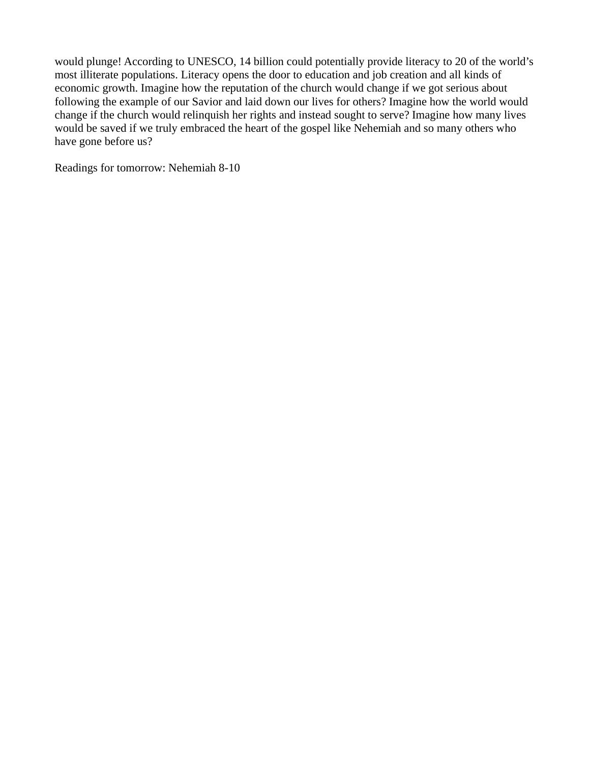would plunge! According to UNESCO, 14 billion could potentially provide literacy to 20 of the world's most illiterate populations. Literacy opens the door to education and job creation and all kinds of economic growth. Imagine how the reputation of the church would change if we got serious about following the example of our Savior and laid down our lives for others? Imagine how the world would change if the church would relinquish her rights and instead sought to serve? Imagine how many lives would be saved if we truly embraced the heart of the gospel like Nehemiah and so many others who have gone before us?

Readings for tomorrow: Nehemiah 8-10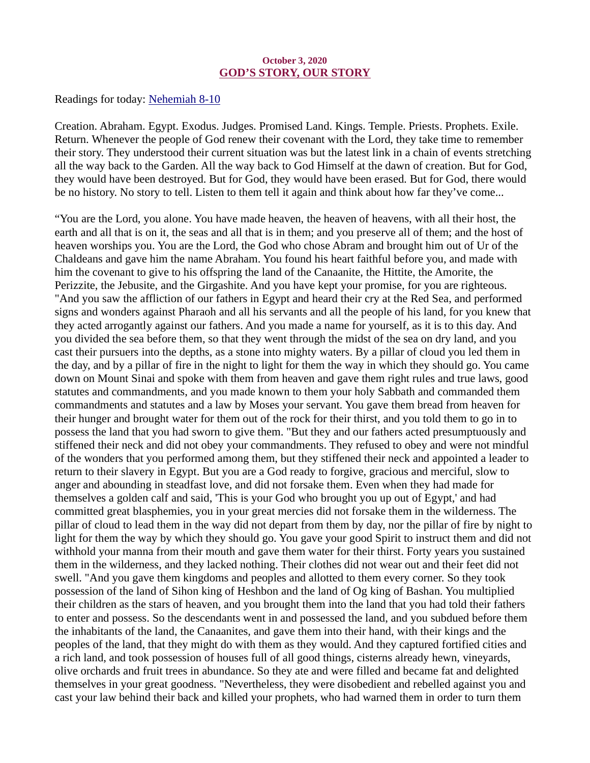#### October 3, 2020 GOD'S STORY, OUR STORY

<span id="page-4-0"></span>Readings for today[: Nehemiah 8-10](https://www.biblegateway.com/passage/?search=Nehemiah+8-10&version=ESV)

Creation. Abraham. Egypt. Exodus. Judges. Promised Land. Kings. Temple. Priests. Prophets. Exile. Return. Whenever the people of God renew their covenant with the Lord, they take time to remember their story. They understood their current situation was but the latest link in a chain of events stretching all the way back to the Garden. All the way back to God Himself at the dawn of creation. But for God, they would have been destroyed. But for God, they would have been erased. But for God, there would be no history. No story to tell. Listen to them tell it again and think about how far they've come...

"You are the Lord, you alone. You have made heaven, the heaven of heavens, with all their host, the earth and all that is on it, the seas and all that is in them; and you preserve all of them; and the host of heaven worships you. You are the Lord, the God who chose Abram and brought him out of Ur of the Chaldeans and gave him the name Abraham. You found his heart faithful before you, and made with him the covenant to give to his offspring the land of the Canaanite, the Hittite, the Amorite, the Perizzite, the Jebusite, and the Girgashite. And you have kept your promise, for you are righteous. "And you saw the affliction of our fathers in Egypt and heard their cry at the Red Sea, and performed signs and wonders against Pharaoh and all his servants and all the people of his land, for you knew that they acted arrogantly against our fathers. And you made a name for yourself, as it is to this day. And you divided the sea before them, so that they went through the midst of the sea on dry land, and you cast their pursuers into the depths, as a stone into mighty waters. By a pillar of cloud you led them in the day, and by a pillar of fire in the night to light for them the way in which they should go. You came down on Mount Sinai and spoke with them from heaven and gave them right rules and true laws, good statutes and commandments, and you made known to them your holy Sabbath and commanded them commandments and statutes and a law by Moses your servant. You gave them bread from heaven for their hunger and brought water for them out of the rock for their thirst, and you told them to go in to possess the land that you had sworn to give them. "But they and our fathers acted presumptuously and stiffened their neck and did not obey your commandments. They refused to obey and were not mindful of the wonders that you performed among them, but they stiffened their neck and appointed a leader to return to their slavery in Egypt. But you are a God ready to forgive, gracious and merciful, slow to anger and abounding in steadfast love, and did not forsake them. Even when they had made for themselves a golden calf and said, 'This is your God who brought you up out of Egypt,' and had committed great blasphemies, you in your great mercies did not forsake them in the wilderness. The pillar of cloud to lead them in the way did not depart from them by day, nor the pillar of fire by night to light for them the way by which they should go. You gave your good Spirit to instruct them and did not withhold your manna from their mouth and gave them water for their thirst. Forty years you sustained them in the wilderness, and they lacked nothing. Their clothes did not wear out and their feet did not swell. "And you gave them kingdoms and peoples and allotted to them every corner. So they took possession of the land of Sihon king of Heshbon and the land of Og king of Bashan. You multiplied their children as the stars of heaven, and you brought them into the land that you had told their fathers to enter and possess. So the descendants went in and possessed the land, and you subdued before them the inhabitants of the land, the Canaanites, and gave them into their hand, with their kings and the peoples of the land, that they might do with them as they would. And they captured fortified cities and a rich land, and took possession of houses full of all good things, cisterns already hewn, vineyards, olive orchards and fruit trees in abundance. So they ate and were filled and became fat and delighted themselves in your great goodness. "Nevertheless, they were disobedient and rebelled against you and cast your law behind their back and killed your prophets, who had warned them in order to turn them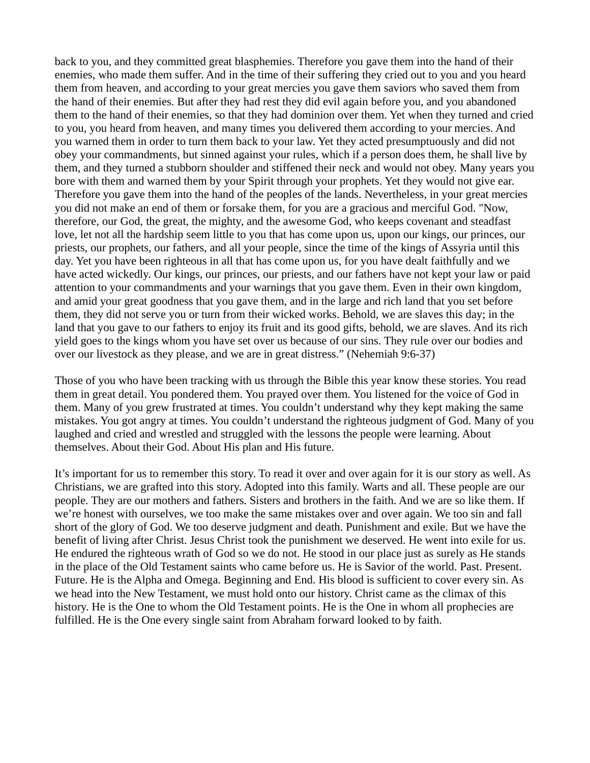back to you, and they committed great blasphemies. Therefore you gave them into the hand of their enemies, who made them suffer. And in the time of their suffering they cried out to you and you heard them from heaven, and according to your great mercies you gave them saviors who saved them from the hand of their enemies. But after they had rest they did evil again before you, and you abandoned them to the hand of their enemies, so that they had dominion over them. Yet when they turned and cried to you, you heard from heaven, and many times you delivered them according to your mercies. And you warned them in order to turn them back to your law. Yet they acted presumptuously and did not obey your commandments, but sinned against your rules, which if a person does them, he shall live by them, and they turned a stubborn shoulder and stiffened their neck and would not obey. Many years you bore with them and warned them by your Spirit through your prophets. Yet they would not give ear. Therefore you gave them into the hand of the peoples of the lands. Nevertheless, in your great mercies you did not make an end of them or forsake them, for you are a gracious and merciful God. "Now, therefore, our God, the great, the mighty, and the awesome God, who keeps covenant and steadfast love, let not all the hardship seem little to you that has come upon us, upon our kings, our princes, our priests, our prophets, our fathers, and all your people, since the time of the kings of Assyria until this day. Yet you have been righteous in all that has come upon us, for you have dealt faithfully and we have acted wickedly. Our kings, our princes, our priests, and our fathers have not kept your law or paid attention to your commandments and your warnings that you gave them. Even in their own kingdom, and amid your great goodness that you gave them, and in the large and rich land that you set before them, they did not serve you or turn from their wicked works. Behold, we are slaves this day; in the land that you gave to our fathers to enjoy its fruit and its good gifts, behold, we are slaves. And its rich yield goes to the kings whom you have set over us because of our sins. They rule over our bodies and over our livestock as they please, and we are in great distress." (Nehemiah 9:6-37)

Those of you who have been tracking with us through the Bible this year know these stories. You read them in great detail. You pondered them. You prayed over them. You listened for the voice of God in them. Many of you grew frustrated at times. You couldn't understand why they kept making the same mistakes. You got angry at times. You couldn't understand the righteous judgment of God. Many of you laughed and cried and wrestled and struggled with the lessons the people were learning. About themselves. About their God. About His plan and His future.

It's important for us to remember this story. To read it over and over again for it is our story as well. As Christians, we are grafted into this story. Adopted into this family. Warts and all. These people are our people. They are our mothers and fathers. Sisters and brothers in the faith. And we are so like them. If we're honest with ourselves, we too make the same mistakes over and over again. We too sin and fall short of the glory of God. We too deserve judgment and death. Punishment and exile. But we have the benefit of living after Christ. Jesus Christ took the punishment we deserved. He went into exile for us. He endured the righteous wrath of God so we do not. He stood in our place just as surely as He stands in the place of the Old Testament saints who came before us. He is Savior of the world. Past. Present. Future. He is the Alpha and Omega. Beginning and End. His blood is sufficient to cover every sin. As we head into the New Testament, we must hold onto our history. Christ came as the climax of this history. He is the One to whom the Old Testament points. He is the One in whom all prophecies are fulfilled. He is the One every single saint from Abraham forward looked to by faith.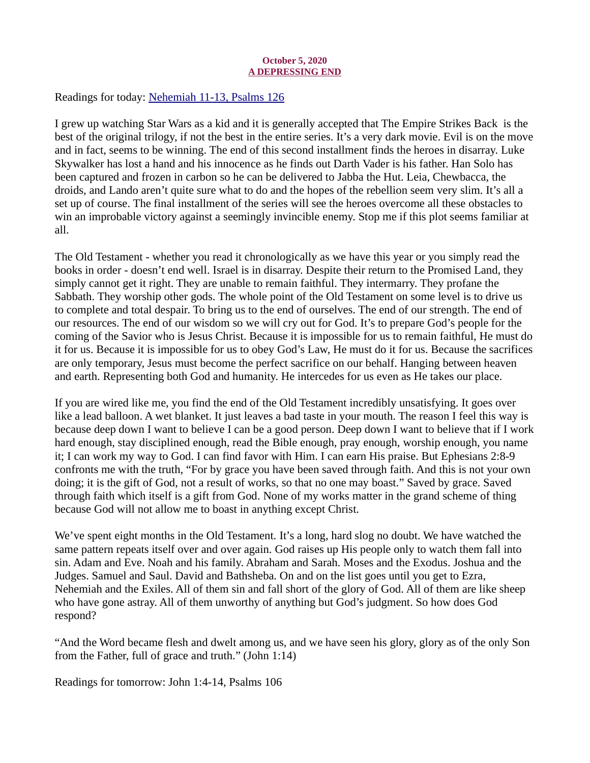#### October 5, 2020 A DEPRESSING END

<span id="page-6-0"></span>Readings for toda[y: Nehemiah 11-13, Psalms 126](https://www.biblegateway.com/passage/?search=Nehemiah+11-13%2C+Psalms+126&version=ESV)

I grew up watching Star Wars as a kid and it is generally accepted that The Empire Strikes Back is the best of the original trilogy, if not the best in the entire series. It's a very dark movie. Evil is on the move and in fact, seems to be winning. The end of this second installment finds the heroes in disarray. Luke Skywalker has lost a hand and his innocence as he finds out Darth Vader is his father. Han Solo has been captured and frozen in carbon so he can be delivered to Jabba the Hut. Leia, Chewbacca, the droids, and Lando aren't quite sure what to do and the hopes of the rebellion seem very slim. It's all a set up of course. The final installment of the series will see the heroes overcome all these obstacles to win an improbable victory against a seemingly invincible enemy. Stop me if this plot seems familiar at all.

The Old Testament - whether you read it chronologically as we have this year or you simply read the books in order - doesn't end well. Israel is in disarray. Despite their return to the Promised Land, they simply cannot get it right. They are unable to remain faithful. They intermarry. They profane the Sabbath. They worship other gods. The whole point of the Old Testament on some level is to drive us to complete and total despair. To bring us to the end of ourselves. The end of our strength. The end of our resources. The end of our wisdom so we will cry out for God. It's to prepare God's people for the coming of the Savior who is Jesus Christ. Because it is impossible for us to remain faithful, He must do it for us. Because it is impossible for us to obey God's Law, He must do it for us. Because the sacrifices are only temporary, Jesus must become the perfect sacrifice on our behalf. Hanging between heaven and earth. Representing both God and humanity. He intercedes for us even as He takes our place.

If you are wired like me, you find the end of the Old Testament incredibly unsatisfying. It goes over like a lead balloon. A wet blanket. It just leaves a bad taste in your mouth. The reason I feel this way is because deep down I want to believe I can be a good person. Deep down I want to believe that if I work hard enough, stay disciplined enough, read the Bible enough, pray enough, worship enough, you name it; I can work my way to God. I can find favor with Him. I can earn His praise. But Ephesians 2:8-9 confronts me with the truth, "For by grace you have been saved through faith. And this is not your own doing; it is the gift of God, not a result of works, so that no one may boast." Saved by grace. Saved through faith which itself is a gift from God. None of my works matter in the grand scheme of thing because God will not allow me to boast in anything except Christ.

We've spent eight months in the Old Testament. It's a long, hard slog no doubt. We have watched the same pattern repeats itself over and over again. God raises up His people only to watch them fall into sin. Adam and Eve. Noah and his family. Abraham and Sarah. Moses and the Exodus. Joshua and the Judges. Samuel and Saul. David and Bathsheba. On and on the list goes until you get to Ezra, Nehemiah and the Exiles. All of them sin and fall short of the glory of God. All of them are like sheep who have gone astray. All of them unworthy of anything but God's judgment. So how does God respond?

"And the Word became flesh and dwelt among us, and we have seen his glory, glory as of the only Son from the Father, full of grace and truth." (John 1:14)

Readings for tomorrow: John 1:4-14, Psalms 106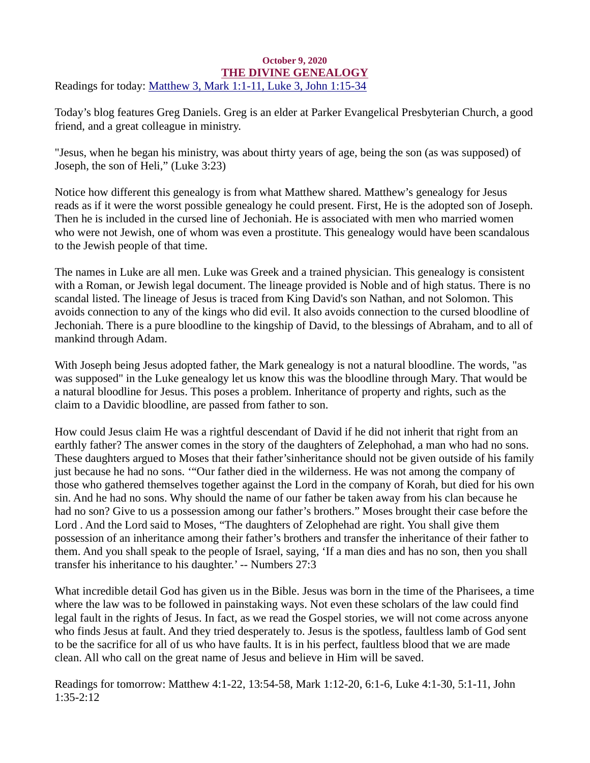#### <span id="page-7-0"></span>October 9, 2020 THE DIVINE GENEALOGY Readings for today[: Matthew 3, Mark 1:1-11, Luke 3, John 1:15-34](https://www.biblegateway.com/passage/?search=Matthew+3%2C+Mark+1%3A1-11%2C+Luke+3%2C+John+1%3A15-34&version=ESV)

Today's blog features Greg Daniels. Greg is an elder at Parker Evangelical Presbyterian Church, a good friend, and a great colleague in ministry.

"Jesus, when he began his ministry, was about thirty years of age, being the son (as was supposed) of Joseph, the son of Heli," (Luke 3:23)

Notice how different this genealogy is from what Matthew shared. Matthew's genealogy for Jesus reads as if it were the worst possible genealogy he could present. First, He is the adopted son of Joseph. Then he is included in the cursed line of Jechoniah. He is associated with men who married women who were not Jewish, one of whom was even a prostitute. This genealogy would have been scandalous to the Jewish people of that time.

The names in Luke are all men. Luke was Greek and a trained physician. This genealogy is consistent with a Roman, or Jewish legal document. The lineage provided is Noble and of high status. There is no scandal listed. The lineage of Jesus is traced from King David's son Nathan, and not Solomon. This avoids connection to any of the kings who did evil. It also avoids connection to the cursed bloodline of Jechoniah. There is a pure bloodline to the kingship of David, to the blessings of Abraham, and to all of mankind through Adam.

With Joseph being Jesus adopted father, the Mark genealogy is not a natural bloodline. The words, "as was supposed" in the Luke genealogy let us know this was the bloodline through Mary. That would be a natural bloodline for Jesus. This poses a problem. Inheritance of property and rights, such as the claim to a Davidic bloodline, are passed from father to son.

How could Jesus claim He was a rightful descendant of David if he did not inherit that right from an earthly father? The answer comes in the story of the daughters of Zelephohad, a man who had no sons. These daughters argued to Moses that their father'sinheritance should not be given outside of his family just because he had no sons. '"Our father died in the wilderness. He was not among the company of those who gathered themselves together against the Lord in the company of Korah, but died for his own sin. And he had no sons. Why should the name of our father be taken away from his clan because he had no son? Give to us a possession among our father's brothers." Moses brought their case before the Lord . And the Lord said to Moses, "The daughters of Zelophehad are right. You shall give them possession of an inheritance among their father's brothers and transfer the inheritance of their father to them. And you shall speak to the people of Israel, saying, 'If a man dies and has no son, then you shall transfer his inheritance to his daughter.' -- Numbers 27:3

What incredible detail God has given us in the Bible. Jesus was born in the time of the Pharisees, a time where the law was to be followed in painstaking ways. Not even these scholars of the law could find legal fault in the rights of Jesus. In fact, as we read the Gospel stories, we will not come across anyone who finds Jesus at fault. And they tried desperately to. Jesus is the spotless, faultless lamb of God sent to be the sacrifice for all of us who have faults. It is in his perfect, faultless blood that we are made clean. All who call on the great name of Jesus and believe in Him will be saved.

Readings for tomorrow: Matthew 4:1-22, 13:54-58, Mark 1:12-20, 6:1-6, Luke 4:1-30, 5:1-11, John 1:35-2:12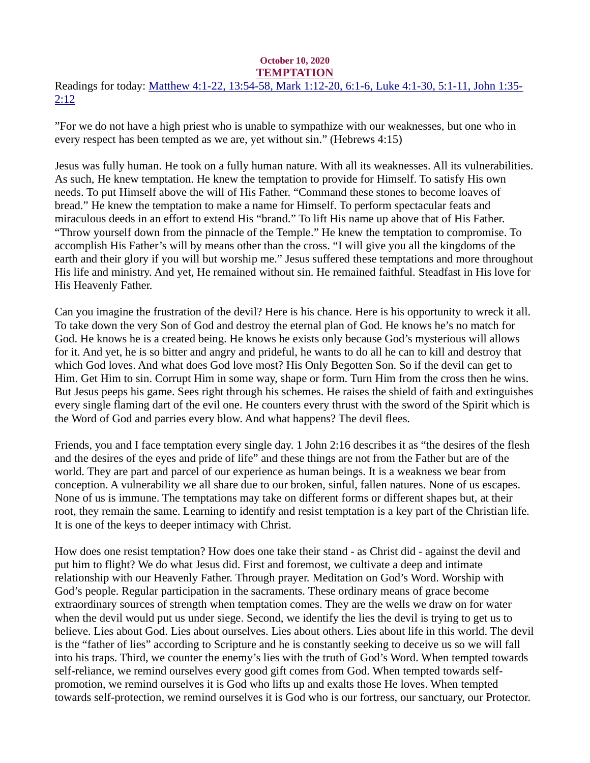# October 10, 2020

**TEMPTATION** 

<span id="page-8-0"></span>[Readings for today: Matthew 4:1-22, 13:54-58, Mark 1:12-20, 6:1-6, Luke 4:1-30, 5:1-11, John 1:35-](https://www.biblegateway.com/passage/?search=Matthew+4%3A1-22%2C+13%3A54-58%2C+Mark+1%3A12-20%2C+6%3A1-6%2C+Luke+4%3A1-30%2C+5%3A1-11%2C+John+1%3A35-2%3A12&version=ESV) 2:12

"For we do not have a high priest who is unable to sympathize with our weaknesses, but one who in every respect has been tempted as we are, yet without sin." (Hebrews 4:15)

Jesus was fully human. He took on a fully human nature. With all its weaknesses. All its vulnerabilities. As such, He knew temptation. He knew the temptation to provide for Himself. To satisfy His own needs. To put Himself above the will of His Father. "Command these stones to become loaves of bread." He knew the temptation to make a name for Himself. To perform spectacular feats and miraculous deeds in an effort to extend His "brand." To lift His name up above that of His Father. "Throw yourself down from the pinnacle of the Temple." He knew the temptation to compromise. To accomplish His Father's will by means other than the cross. "I will give you all the kingdoms of the earth and their glory if you will but worship me." Jesus suffered these temptations and more throughout His life and ministry. And yet, He remained without sin. He remained faithful. Steadfast in His love for His Heavenly Father.

Can you imagine the frustration of the devil? Here is his chance. Here is his opportunity to wreck it all. To take down the very Son of God and destroy the eternal plan of God. He knows he's no match for God. He knows he is a created being. He knows he exists only because God's mysterious will allows for it. And yet, he is so bitter and angry and prideful, he wants to do all he can to kill and destroy that which God loves. And what does God love most? His Only Begotten Son. So if the devil can get to Him. Get Him to sin. Corrupt Him in some way, shape or form. Turn Him from the cross then he wins. But Jesus peeps his game. Sees right through his schemes. He raises the shield of faith and extinguishes every single flaming dart of the evil one. He counters every thrust with the sword of the Spirit which is the Word of God and parries every blow. And what happens? The devil flees.

Friends, you and I face temptation every single day. 1 John 2:16 describes it as "the desires of the flesh and the desires of the eyes and pride of life" and these things are not from the Father but are of the world. They are part and parcel of our experience as human beings. It is a weakness we bear from conception. A vulnerability we all share due to our broken, sinful, fallen natures. None of us escapes. None of us is immune. The temptations may take on different forms or different shapes but, at their root, they remain the same. Learning to identify and resist temptation is a key part of the Christian life. It is one of the keys to deeper intimacy with Christ.

How does one resist temptation? How does one take their stand - as Christ did - against the devil and put him to flight? We do what Jesus did. First and foremost, we cultivate a deep and intimate relationship with our Heavenly Father. Through prayer. Meditation on God's Word. Worship with God's people. Regular participation in the sacraments. These ordinary means of grace become extraordinary sources of strength when temptation comes. They are the wells we draw on for water when the devil would put us under siege. Second, we identify the lies the devil is trying to get us to believe. Lies about God. Lies about ourselves. Lies about others. Lies about life in this world. The devil is the "father of lies" according to Scripture and he is constantly seeking to deceive us so we will fall into his traps. Third, we counter the enemy's lies with the truth of God's Word. When tempted towards self-reliance, we remind ourselves every good gift comes from God. When tempted towards selfpromotion, we remind ourselves it is God who lifts up and exalts those He loves. When tempted towards self-protection, we remind ourselves it is God who is our fortress, our sanctuary, our Protector.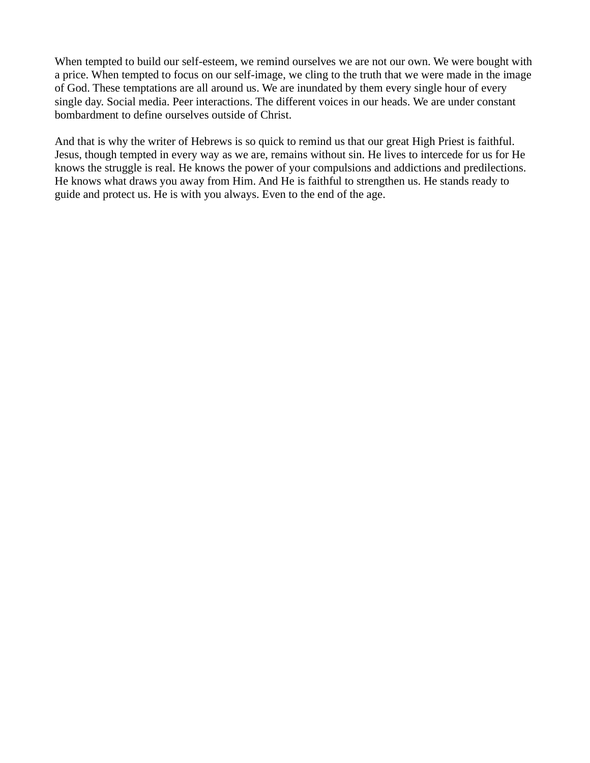When tempted to build our self-esteem, we remind ourselves we are not our own. We were bought with a price. When tempted to focus on our self-image, we cling to the truth that we were made in the image of God. These temptations are all around us. We are inundated by them every single hour of every single day. Social media. Peer interactions. The different voices in our heads. We are under constant bombardment to define ourselves outside of Christ.

And that is why the writer of Hebrews is so quick to remind us that our great High Priest is faithful. Jesus, though tempted in every way as we are, remains without sin. He lives to intercede for us for He knows the struggle is real. He knows the power of your compulsions and addictions and predilections. He knows what draws you away from Him. And He is faithful to strengthen us. He stands ready to guide and protect us. He is with you always. Even to the end of the age.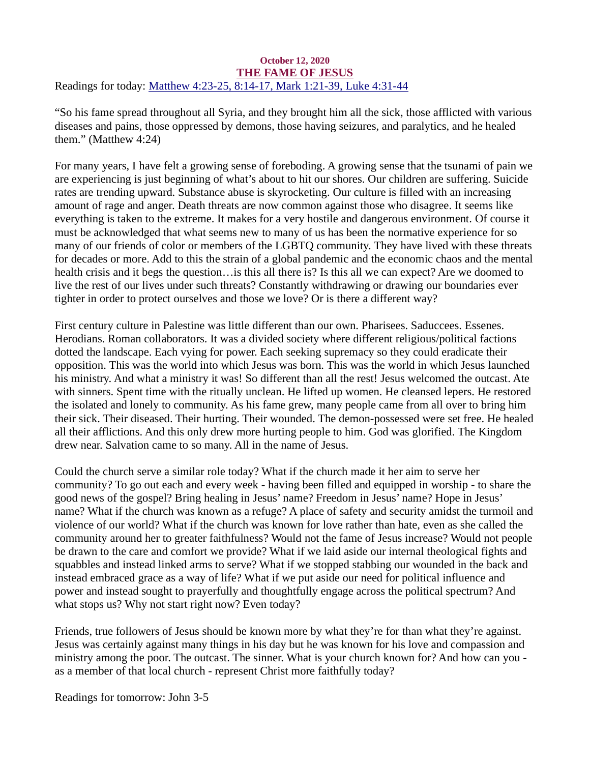#### <span id="page-10-0"></span>October 12, 2020 THE FAME OF JESUS Readings for today[: Matthew 4:23-25, 8:14-17, Mark 1:21-39, Luke 4:31-44](https://www.biblegateway.com/passage/?search=Matthew+4%3A23-25%2C+8%3A14-17%2C+Mark+1%3A21-39%2C+Luke+4%3A31-44&version=ESV)

"So his fame spread throughout all Syria, and they brought him all the sick, those afflicted with various diseases and pains, those oppressed by demons, those having seizures, and paralytics, and he healed them." (Matthew 4:24)

For many years, I have felt a growing sense of foreboding. A growing sense that the tsunami of pain we are experiencing is just beginning of what's about to hit our shores. Our children are suffering. Suicide rates are trending upward. Substance abuse is skyrocketing. Our culture is filled with an increasing amount of rage and anger. Death threats are now common against those who disagree. It seems like everything is taken to the extreme. It makes for a very hostile and dangerous environment. Of course it must be acknowledged that what seems new to many of us has been the normative experience for so many of our friends of color or members of the LGBTQ community. They have lived with these threats for decades or more. Add to this the strain of a global pandemic and the economic chaos and the mental health crisis and it begs the question…is this all there is? Is this all we can expect? Are we doomed to live the rest of our lives under such threats? Constantly withdrawing or drawing our boundaries ever tighter in order to protect ourselves and those we love? Or is there a different way?

First century culture in Palestine was little different than our own. Pharisees. Saduccees. Essenes. Herodians. Roman collaborators. It was a divided society where different religious/political factions dotted the landscape. Each vying for power. Each seeking supremacy so they could eradicate their opposition. This was the world into which Jesus was born. This was the world in which Jesus launched his ministry. And what a ministry it was! So different than all the rest! Jesus welcomed the outcast. Ate with sinners. Spent time with the ritually unclean. He lifted up women. He cleansed lepers. He restored the isolated and lonely to community. As his fame grew, many people came from all over to bring him their sick. Their diseased. Their hurting. Their wounded. The demon-possessed were set free. He healed all their afflictions. And this only drew more hurting people to him. God was glorified. The Kingdom drew near. Salvation came to so many. All in the name of Jesus.

Could the church serve a similar role today? What if the church made it her aim to serve her community? To go out each and every week - having been filled and equipped in worship - to share the good news of the gospel? Bring healing in Jesus' name? Freedom in Jesus' name? Hope in Jesus' name? What if the church was known as a refuge? A place of safety and security amidst the turmoil and violence of our world? What if the church was known for love rather than hate, even as she called the community around her to greater faithfulness? Would not the fame of Jesus increase? Would not people be drawn to the care and comfort we provide? What if we laid aside our internal theological fights and squabbles and instead linked arms to serve? What if we stopped stabbing our wounded in the back and instead embraced grace as a way of life? What if we put aside our need for political influence and power and instead sought to prayerfully and thoughtfully engage across the political spectrum? And what stops us? Why not start right now? Even today?

Friends, true followers of Jesus should be known more by what they're for than what they're against. Jesus was certainly against many things in his day but he was known for his love and compassion and ministry among the poor. The outcast. The sinner. What is your church known for? And how can you as a member of that local church - represent Christ more faithfully today?

Readings for tomorrow: John 3-5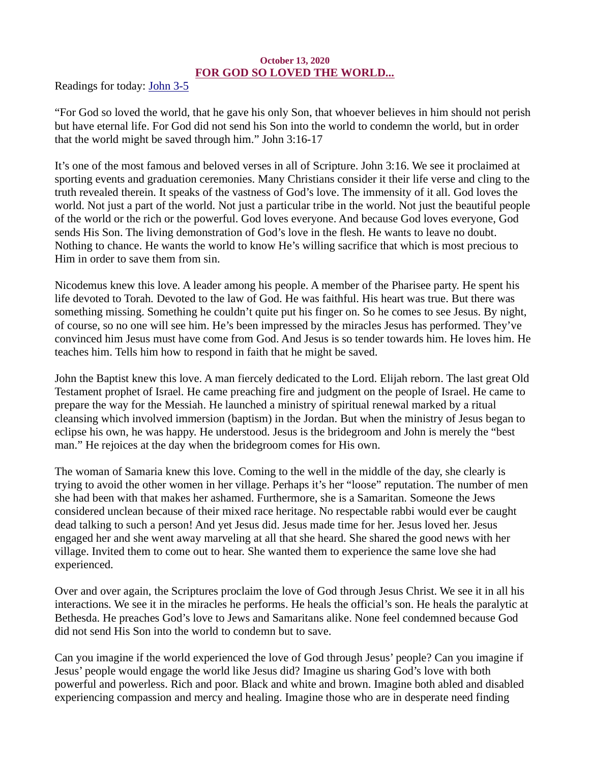#### October 13, 2020 FOR GOD SO LOVED THE WORLD...

<span id="page-11-0"></span>Readings for toda[y: John 3-5](https://www.biblegateway.com/passage/?search=John+3-5&version=ESV)

"For God so loved the world, that he gave his only Son, that whoever believes in him should not perish but have eternal life. For God did not send his Son into the world to condemn the world, but in order that the world might be saved through him." John 3:16-17

It's one of the most famous and beloved verses in all of Scripture. John 3:16. We see it proclaimed at sporting events and graduation ceremonies. Many Christians consider it their life verse and cling to the truth revealed therein. It speaks of the vastness of God's love. The immensity of it all. God loves the world. Not just a part of the world. Not just a particular tribe in the world. Not just the beautiful people of the world or the rich or the powerful. God loves everyone. And because God loves everyone, God sends His Son. The living demonstration of God's love in the flesh. He wants to leave no doubt. Nothing to chance. He wants the world to know He's willing sacrifice that which is most precious to Him in order to save them from sin.

Nicodemus knew this love. A leader among his people. A member of the Pharisee party. He spent his life devoted to Torah. Devoted to the law of God. He was faithful. His heart was true. But there was something missing. Something he couldn't quite put his finger on. So he comes to see Jesus. By night, of course, so no one will see him. He's been impressed by the miracles Jesus has performed. They've convinced him Jesus must have come from God. And Jesus is so tender towards him. He loves him. He teaches him. Tells him how to respond in faith that he might be saved.

John the Baptist knew this love. A man fiercely dedicated to the Lord. Elijah reborn. The last great Old Testament prophet of Israel. He came preaching fire and judgment on the people of Israel. He came to prepare the way for the Messiah. He launched a ministry of spiritual renewal marked by a ritual cleansing which involved immersion (baptism) in the Jordan. But when the ministry of Jesus began to eclipse his own, he was happy. He understood. Jesus is the bridegroom and John is merely the "best man." He rejoices at the day when the bridegroom comes for His own.

The woman of Samaria knew this love. Coming to the well in the middle of the day, she clearly is trying to avoid the other women in her village. Perhaps it's her "loose" reputation. The number of men she had been with that makes her ashamed. Furthermore, she is a Samaritan. Someone the Jews considered unclean because of their mixed race heritage. No respectable rabbi would ever be caught dead talking to such a person! And yet Jesus did. Jesus made time for her. Jesus loved her. Jesus engaged her and she went away marveling at all that she heard. She shared the good news with her village. Invited them to come out to hear. She wanted them to experience the same love she had experienced.

Over and over again, the Scriptures proclaim the love of God through Jesus Christ. We see it in all his interactions. We see it in the miracles he performs. He heals the official's son. He heals the paralytic at Bethesda. He preaches God's love to Jews and Samaritans alike. None feel condemned because God did not send His Son into the world to condemn but to save.

Can you imagine if the world experienced the love of God through Jesus' people? Can you imagine if Jesus' people would engage the world like Jesus did? Imagine us sharing God's love with both powerful and powerless. Rich and poor. Black and white and brown. Imagine both abled and disabled experiencing compassion and mercy and healing. Imagine those who are in desperate need finding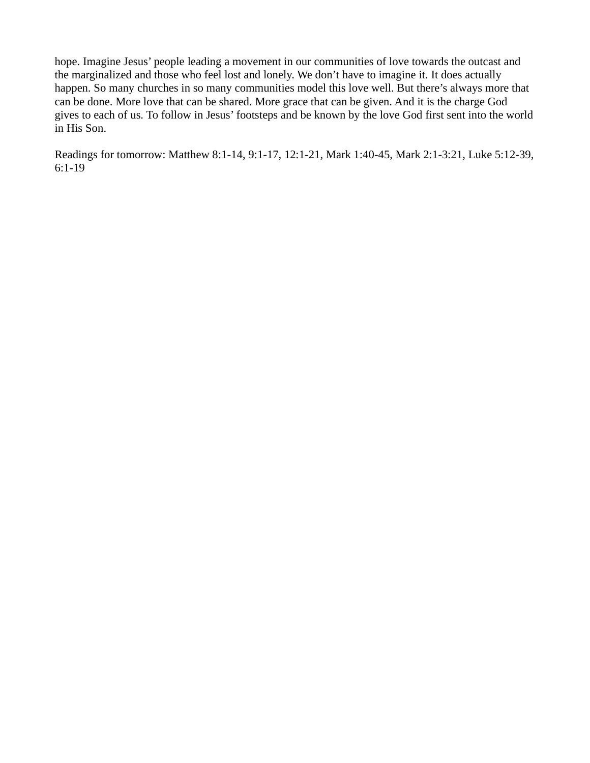hope. Imagine Jesus' people leading a movement in our communities of love towards the outcast and the marginalized and those who feel lost and lonely. We don't have to imagine it. It does actually happen. So many churches in so many communities model this love well. But there's always more that can be done. More love that can be shared. More grace that can be given. And it is the charge God gives to each of us. To follow in Jesus' footsteps and be known by the love God first sent into the world in His Son.

Readings for tomorrow: Matthew 8:1-14, 9:1-17, 12:1-21, Mark 1:40-45, Mark 2:1-3:21, Luke 5:12-39, 6:1-19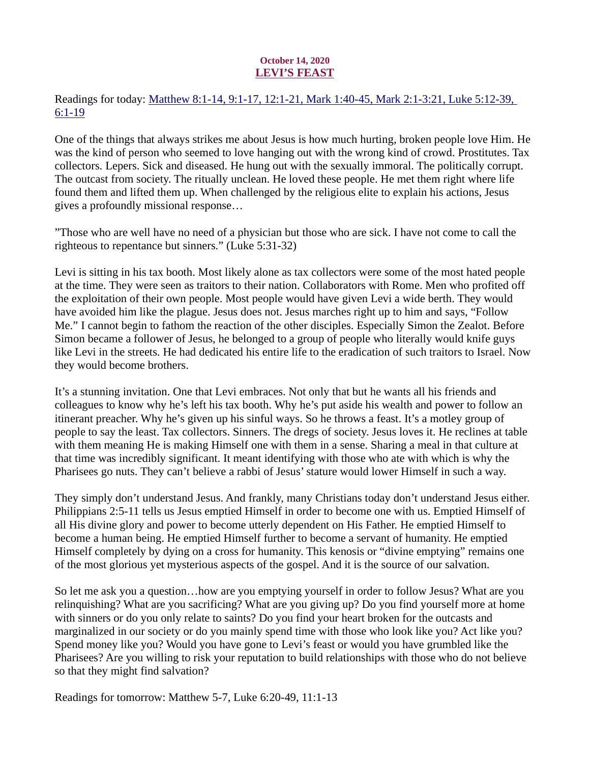### October 14, 2020 LEVI'S FEAST

<span id="page-13-0"></span>Readings for today: Matthew 8:1-14, 9:1-17, 12:1-21, Mark 1:40-45, Mark 2:1-3:21, Luke 5:12-39, 6:1-19

One of the things that always strikes me about Jesus is how much hurting, broken people love Him. He was the kind of person who seemed to love hanging out with the wrong kind of crowd. Prostitutes. Tax collectors. Lepers. Sick and diseased. He hung out with the sexually immoral. The politically corrupt. The outcast from society. The ritually unclean. He loved these people. He met them right where life found them and lifted them up. When challenged by the religious elite to explain his actions, Jesus gives a profoundly missional response…

"Those who are well have no need of a physician but those who are sick. I have not come to call the righteous to repentance but sinners." (Luke 5:31-32)

Levi is sitting in his tax booth. Most likely alone as tax collectors were some of the most hated people at the time. They were seen as traitors to their nation. Collaborators with Rome. Men who profited off the exploitation of their own people. Most people would have given Levi a wide berth. They would have avoided him like the plague. Jesus does not. Jesus marches right up to him and says, "Follow Me." I cannot begin to fathom the reaction of the other disciples. Especially Simon the Zealot. Before Simon became a follower of Jesus, he belonged to a group of people who literally would knife guys like Levi in the streets. He had dedicated his entire life to the eradication of such traitors to Israel. Now they would become brothers.

It's a stunning invitation. One that Levi embraces. Not only that but he wants all his friends and colleagues to know why he's left his tax booth. Why he's put aside his wealth and power to follow an itinerant preacher. Why he's given up his sinful ways. So he throws a feast. It's a motley group of people to say the least. Tax collectors. Sinners. The dregs of society. Jesus loves it. He reclines at table with them meaning He is making Himself one with them in a sense. Sharing a meal in that culture at that time was incredibly significant. It meant identifying with those who ate with which is why the Pharisees go nuts. They can't believe a rabbi of Jesus' stature would lower Himself in such a way.

They simply don't understand Jesus. And frankly, many Christians today don't understand Jesus either. Philippians 2:5-11 tells us Jesus emptied Himself in order to become one with us. Emptied Himself of all His divine glory and power to become utterly dependent on His Father. He emptied Himself to become a human being. He emptied Himself further to become a servant of humanity. He emptied Himself completely by dying on a cross for humanity. This kenosis or "divine emptying" remains one of the most glorious yet mysterious aspects of the gospel. And it is the source of our salvation.

So let me ask you a question…how are you emptying yourself in order to follow Jesus? What are you relinquishing? What are you sacrificing? What are you giving up? Do you find yourself more at home with sinners or do you only relate to saints? Do you find your heart broken for the outcasts and marginalized in our society or do you mainly spend time with those who look like you? Act like you? Spend money like you? Would you have gone to Levi's feast or would you have grumbled like the Pharisees? Are you willing to risk your reputation to build relationships with those who do not believe so that they might find salvation?

Readings for tomorrow: Matthew 5-7, Luke 6:20-49, 11:1-13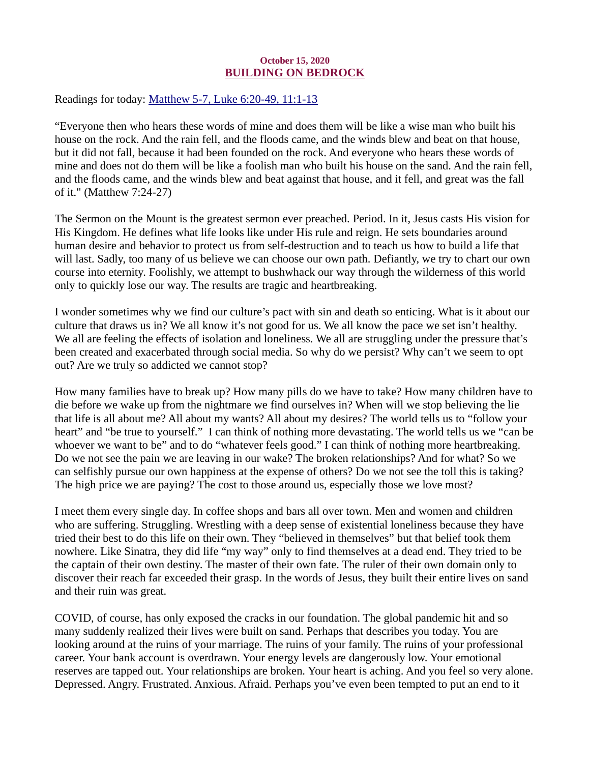#### October 15, 2020 BUILDING ON BEDROCK

<span id="page-14-0"></span>[Readings for today: Matthew 5-7, Luke 6:20-49, 11:1-13](https://www.biblegateway.com/passage/?search=Matthew+5-7%2C+Luke+6%3A20-49%2C+11%3A1-13&version=ESV)

"Everyone then who hears these words of mine and does them will be like a wise man who built his house on the rock. And the rain fell, and the floods came, and the winds blew and beat on that house, but it did not fall, because it had been founded on the rock. And everyone who hears these words of mine and does not do them will be like a foolish man who built his house on the sand. And the rain fell, and the floods came, and the winds blew and beat against that house, and it fell, and great was the fall of it." (Matthew 7:24-27)

The Sermon on the Mount is the greatest sermon ever preached. Period. In it, Jesus casts His vision for His Kingdom. He defines what life looks like under His rule and reign. He sets boundaries around human desire and behavior to protect us from self-destruction and to teach us how to build a life that will last. Sadly, too many of us believe we can choose our own path. Defiantly, we try to chart our own course into eternity. Foolishly, we attempt to bushwhack our way through the wilderness of this world only to quickly lose our way. The results are tragic and heartbreaking.

I wonder sometimes why we find our culture's pact with sin and death so enticing. What is it about our culture that draws us in? We all know it's not good for us. We all know the pace we set isn't healthy. We all are feeling the effects of isolation and loneliness. We all are struggling under the pressure that's been created and exacerbated through social media. So why do we persist? Why can't we seem to opt out? Are we truly so addicted we cannot stop?

How many families have to break up? How many pills do we have to take? How many children have to die before we wake up from the nightmare we find ourselves in? When will we stop believing the lie that life is all about me? All about my wants? All about my desires? The world tells us to "follow your heart" and "be true to yourself." I can think of nothing more devastating. The world tells us we "can be whoever we want to be" and to do "whatever feels good." I can think of nothing more heartbreaking. Do we not see the pain we are leaving in our wake? The broken relationships? And for what? So we can selfishly pursue our own happiness at the expense of others? Do we not see the toll this is taking? The high price we are paying? The cost to those around us, especially those we love most?

I meet them every single day. In coffee shops and bars all over town. Men and women and children who are suffering. Struggling. Wrestling with a deep sense of existential loneliness because they have tried their best to do this life on their own. They "believed in themselves" but that belief took them nowhere. Like Sinatra, they did life "my way" only to find themselves at a dead end. They tried to be the captain of their own destiny. The master of their own fate. The ruler of their own domain only to discover their reach far exceeded their grasp. In the words of Jesus, they built their entire lives on sand and their ruin was great.

COVID, of course, has only exposed the cracks in our foundation. The global pandemic hit and so many suddenly realized their lives were built on sand. Perhaps that describes you today. You are looking around at the ruins of your marriage. The ruins of your family. The ruins of your professional career. Your bank account is overdrawn. Your energy levels are dangerously low. Your emotional reserves are tapped out. Your relationships are broken. Your heart is aching. And you feel so very alone. Depressed. Angry. Frustrated. Anxious. Afraid. Perhaps you've even been tempted to put an end to it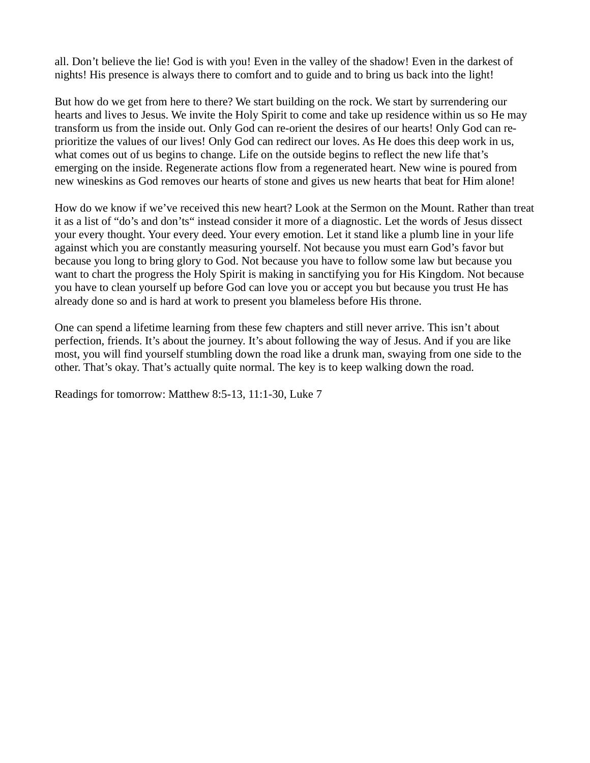all. Don't believe the lie! God is with you! Even in the valley of the shadow! Even in the darkest of nights! His presence is always there to comfort and to guide and to bring us back into the light!

But how do we get from here to there? We start building on the rock. We start by surrendering our hearts and lives to Jesus. We invite the Holy Spirit to come and take up residence within us so He may transform us from the inside out. Only God can re-orient the desires of our hearts! Only God can reprioritize the values of our lives! Only God can redirect our loves. As He does this deep work in us, what comes out of us begins to change. Life on the outside begins to reflect the new life that's emerging on the inside. Regenerate actions flow from a regenerated heart. New wine is poured from new wineskins as God removes our hearts of stone and gives us new hearts that beat for Him alone!

How do we know if we've received this new heart? Look at the Sermon on the Mount. Rather than treat it as a list of "do's and don'ts" instead consider it more of a diagnostic. Let the words of Jesus dissect your every thought. Your every deed. Your every emotion. Let it stand like a plumb line in your life against which you are constantly measuring yourself. Not because you must earn God's favor but because you long to bring glory to God. Not because you have to follow some law but because you want to chart the progress the Holy Spirit is making in sanctifying you for His Kingdom. Not because you have to clean yourself up before God can love you or accept you but because you trust He has already done so and is hard at work to present you blameless before His throne.

One can spend a lifetime learning from these few chapters and still never arrive. This isn't about perfection, friends. It's about the journey. It's about following the way of Jesus. And if you are like most, you will find yourself stumbling down the road like a drunk man, swaying from one side to the other. That's okay. That's actually quite normal. The key is to keep walking down the road.

Readings for tomorrow: Matthew 8:5-13, 11:1-30, Luke 7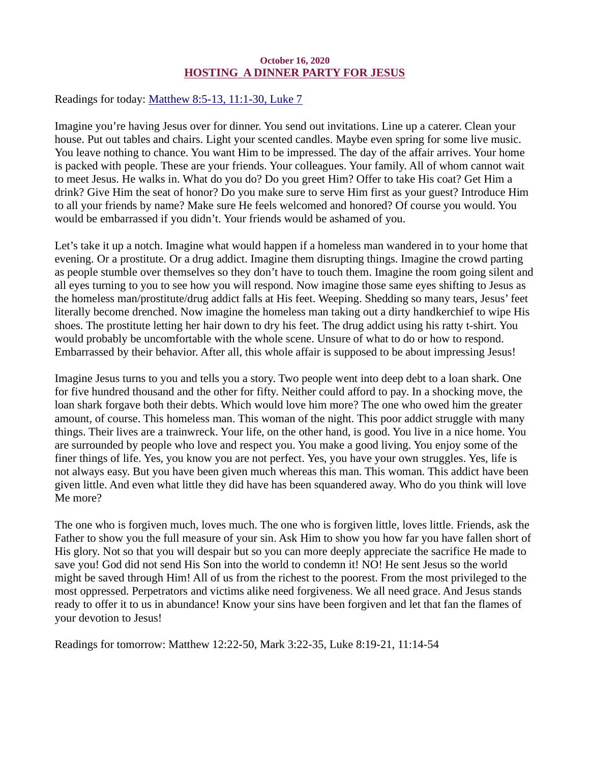#### October 16, 2020 HOSTING A DINNER PARTY FOR JESUS

<span id="page-16-0"></span>[Readings for today: Matthew 8:5-13, 11:1-30, Luke 7](https://www.biblegateway.com/passage/?search=Matthew+8%3A5-13%2C+11%3A1-30%2C+Luke+7&version=ESV)

Imagine you're having Jesus over for dinner. You send out invitations. Line up a caterer. Clean your house. Put out tables and chairs. Light your scented candles. Maybe even spring for some live music. You leave nothing to chance. You want Him to be impressed. The day of the affair arrives. Your home is packed with people. These are your friends. Your colleagues. Your family. All of whom cannot wait to meet Jesus. He walks in. What do you do? Do you greet Him? Offer to take His coat? Get Him a drink? Give Him the seat of honor? Do you make sure to serve Him first as your guest? Introduce Him to all your friends by name? Make sure He feels welcomed and honored? Of course you would. You would be embarrassed if you didn't. Your friends would be ashamed of you.

Let's take it up a notch. Imagine what would happen if a homeless man wandered in to your home that evening. Or a prostitute. Or a drug addict. Imagine them disrupting things. Imagine the crowd parting as people stumble over themselves so they don't have to touch them. Imagine the room going silent and all eyes turning to you to see how you will respond. Now imagine those same eyes shifting to Jesus as the homeless man/prostitute/drug addict falls at His feet. Weeping. Shedding so many tears, Jesus' feet literally become drenched. Now imagine the homeless man taking out a dirty handkerchief to wipe His shoes. The prostitute letting her hair down to dry his feet. The drug addict using his ratty t-shirt. You would probably be uncomfortable with the whole scene. Unsure of what to do or how to respond. Embarrassed by their behavior. After all, this whole affair is supposed to be about impressing Jesus!

Imagine Jesus turns to you and tells you a story. Two people went into deep debt to a loan shark. One for five hundred thousand and the other for fifty. Neither could afford to pay. In a shocking move, the loan shark forgave both their debts. Which would love him more? The one who owed him the greater amount, of course. This homeless man. This woman of the night. This poor addict struggle with many things. Their lives are a trainwreck. Your life, on the other hand, is good. You live in a nice home. You are surrounded by people who love and respect you. You make a good living. You enjoy some of the finer things of life. Yes, you know you are not perfect. Yes, you have your own struggles. Yes, life is not always easy. But you have been given much whereas this man. This woman. This addict have been given little. And even what little they did have has been squandered away. Who do you think will love Me more?

The one who is forgiven much, loves much. The one who is forgiven little, loves little. Friends, ask the Father to show you the full measure of your sin. Ask Him to show you how far you have fallen short of His glory. Not so that you will despair but so you can more deeply appreciate the sacrifice He made to save you! God did not send His Son into the world to condemn it! NO! He sent Jesus so the world might be saved through Him! All of us from the richest to the poorest. From the most privileged to the most oppressed. Perpetrators and victims alike need forgiveness. We all need grace. And Jesus stands ready to offer it to us in abundance! Know your sins have been forgiven and let that fan the flames of your devotion to Jesus!

Readings for tomorrow: Matthew 12:22-50, Mark 3:22-35, Luke 8:19-21, 11:14-54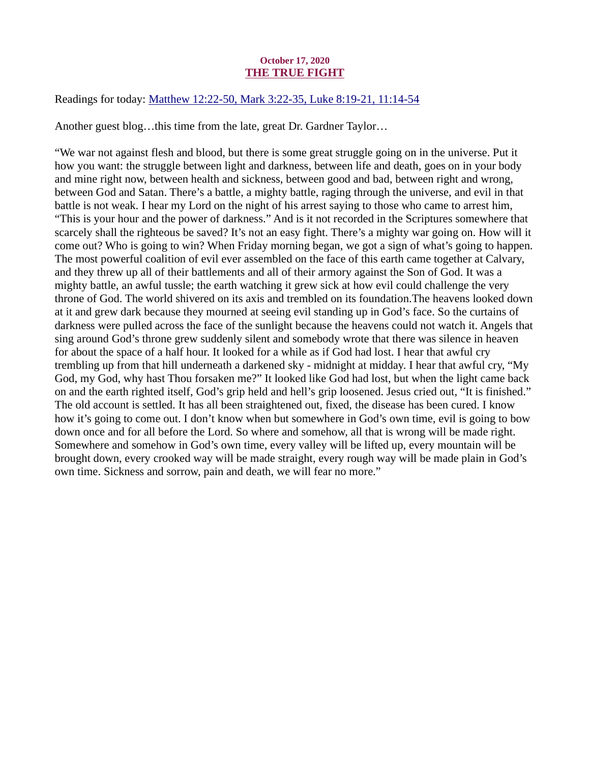#### October 17, 2020 THE TRUE FIGHT

<span id="page-17-0"></span>[Readings for today: Matthew 12:22-50, Mark 3:22-35, Luke 8:19-21, 11:14-54](https://www.biblegateway.com/passage/?search=Matthew+12%3A22-50%2C+Mark+3%3A22-35%2C+Luke+8%3A19-21%2C+11%3A14-54&version=ESV)

Another guest blog…this time from the late, great Dr. Gardner Taylor…

"We war not against flesh and blood, but there is some great struggle going on in the universe. Put it how you want: the struggle between light and darkness, between life and death, goes on in your body and mine right now, between health and sickness, between good and bad, between right and wrong, between God and Satan. There's a battle, a mighty battle, raging through the universe, and evil in that battle is not weak. I hear my Lord on the night of his arrest saying to those who came to arrest him, "This is your hour and the power of darkness." And is it not recorded in the Scriptures somewhere that scarcely shall the righteous be saved? It's not an easy fight. There's a mighty war going on. How will it come out? Who is going to win? When Friday morning began, we got a sign of what's going to happen. The most powerful coalition of evil ever assembled on the face of this earth came together at Calvary, and they threw up all of their battlements and all of their armory against the Son of God. It was a mighty battle, an awful tussle; the earth watching it grew sick at how evil could challenge the very throne of God. The world shivered on its axis and trembled on its foundation.The heavens looked down at it and grew dark because they mourned at seeing evil standing up in God's face. So the curtains of darkness were pulled across the face of the sunlight because the heavens could not watch it. Angels that sing around God's throne grew suddenly silent and somebody wrote that there was silence in heaven for about the space of a half hour. It looked for a while as if God had lost. I hear that awful cry trembling up from that hill underneath a darkened sky - midnight at midday. I hear that awful cry, "My God, my God, why hast Thou forsaken me?" It looked like God had lost, but when the light came back on and the earth righted itself, God's grip held and hell's grip loosened. Jesus cried out, "It is finished." The old account is settled. It has all been straightened out, fixed, the disease has been cured. I know how it's going to come out. I don't know when but somewhere in God's own time, evil is going to bow down once and for all before the Lord. So where and somehow, all that is wrong will be made right. Somewhere and somehow in God's own time, every valley will be lifted up, every mountain will be brought down, every crooked way will be made straight, every rough way will be made plain in God's own time. Sickness and sorrow, pain and death, we will fear no more."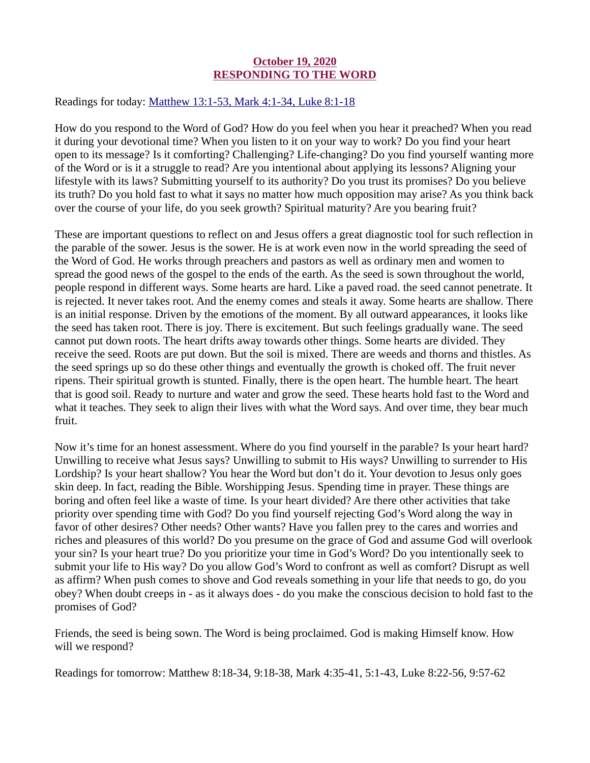## October 19, 2020 RESPONDING TO THE WORD

<span id="page-18-0"></span>[Readings for today: Matthew 13:1-53, Mark 4:1-34, Luke 8:1-18](https://www.biblegateway.com/passage/?search=Matthew+13%3A1-53%2C+Mark+4%3A1-34%2C+Luke+8%3A1-18&version=ESV)

How do you respond to the Word of God? How do you feel when you hear it preached? When you read it during your devotional time? When you listen to it on your way to work? Do you find your heart open to its message? Is it comforting? Challenging? Life-changing? Do you find yourself wanting more of the Word or is it a struggle to read? Are you intentional about applying its lessons? Aligning your lifestyle with its laws? Submitting yourself to its authority? Do you trust its promises? Do you believe its truth? Do you hold fast to what it says no matter how much opposition may arise? As you think back over the course of your life, do you seek growth? Spiritual maturity? Are you bearing fruit?

These are important questions to reflect on and Jesus offers a great diagnostic tool for such reflection in the parable of the sower. Jesus is the sower. He is at work even now in the world spreading the seed of the Word of God. He works through preachers and pastors as well as ordinary men and women to spread the good news of the gospel to the ends of the earth. As the seed is sown throughout the world, people respond in different ways. Some hearts are hard. Like a paved road. the seed cannot penetrate. It is rejected. It never takes root. And the enemy comes and steals it away. Some hearts are shallow. There is an initial response. Driven by the emotions of the moment. By all outward appearances, it looks like the seed has taken root. There is joy. There is excitement. But such feelings gradually wane. The seed cannot put down roots. The heart drifts away towards other things. Some hearts are divided. They receive the seed. Roots are put down. But the soil is mixed. There are weeds and thorns and thistles. As the seed springs up so do these other things and eventually the growth is choked off. The fruit never ripens. Their spiritual growth is stunted. Finally, there is the open heart. The humble heart. The heart that is good soil. Ready to nurture and water and grow the seed. These hearts hold fast to the Word and what it teaches. They seek to align their lives with what the Word says. And over time, they bear much fruit.

Now it's time for an honest assessment. Where do you find yourself in the parable? Is your heart hard? Unwilling to receive what Jesus says? Unwilling to submit to His ways? Unwilling to surrender to His Lordship? Is your heart shallow? You hear the Word but don't do it. Your devotion to Jesus only goes skin deep. In fact, reading the Bible. Worshipping Jesus. Spending time in prayer. These things are boring and often feel like a waste of time. Is your heart divided? Are there other activities that take priority over spending time with God? Do you find yourself rejecting God's Word along the way in favor of other desires? Other needs? Other wants? Have you fallen prey to the cares and worries and riches and pleasures of this world? Do you presume on the grace of God and assume God will overlook your sin? Is your heart true? Do you prioritize your time in God's Word? Do you intentionally seek to submit your life to His way? Do you allow God's Word to confront as well as comfort? Disrupt as well as affirm? When push comes to shove and God reveals something in your life that needs to go, do you obey? When doubt creeps in - as it always does - do you make the conscious decision to hold fast to the promises of God?

Friends, the seed is being sown. The Word is being proclaimed. God is making Himself know. How will we respond?

Readings for tomorrow: Matthew 8:18-34, 9:18-38, Mark 4:35-41, 5:1-43, Luke 8:22-56, 9:57-62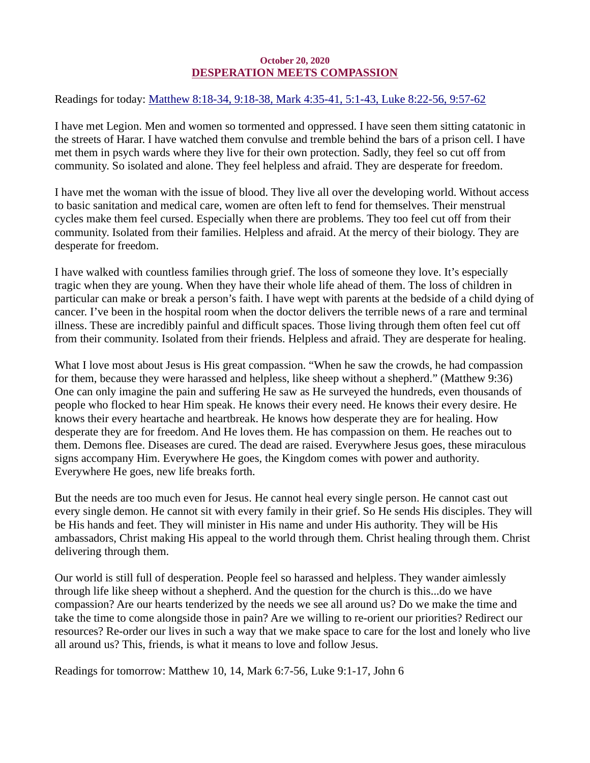#### October 20, 2020 DESPERATION MEETS COMPASSION

<span id="page-19-0"></span>[Readings for today: Matthew 8:18-34, 9:18-38, Mark 4:35-41, 5:1-43, Luke 8:22-56, 9:57-62](https://www.biblegateway.com/passage/?search=Matthew+8%3A18-34%2C+9%3A18-38%2C+Mark+4%3A35-41%2C+5%3A1-43%2C+Luke+8%3A22-56%2C+9%3A57-62&version=ESV)

I have met Legion. Men and women so tormented and oppressed. I have seen them sitting catatonic in the streets of Harar. I have watched them convulse and tremble behind the bars of a prison cell. I have met them in psych wards where they live for their own protection. Sadly, they feel so cut off from community. So isolated and alone. They feel helpless and afraid. They are desperate for freedom.

I have met the woman with the issue of blood. They live all over the developing world. Without access to basic sanitation and medical care, women are often left to fend for themselves. Their menstrual cycles make them feel cursed. Especially when there are problems. They too feel cut off from their community. Isolated from their families. Helpless and afraid. At the mercy of their biology. They are desperate for freedom.

I have walked with countless families through grief. The loss of someone they love. It's especially tragic when they are young. When they have their whole life ahead of them. The loss of children in particular can make or break a person's faith. I have wept with parents at the bedside of a child dying of cancer. I've been in the hospital room when the doctor delivers the terrible news of a rare and terminal illness. These are incredibly painful and difficult spaces. Those living through them often feel cut off from their community. Isolated from their friends. Helpless and afraid. They are desperate for healing.

What I love most about Jesus is His great compassion. "When he saw the crowds, he had compassion for them, because they were harassed and helpless, like sheep without a shepherd." (Matthew 9:36) One can only imagine the pain and suffering He saw as He surveyed the hundreds, even thousands of people who flocked to hear Him speak. He knows their every need. He knows their every desire. He knows their every heartache and heartbreak. He knows how desperate they are for healing. How desperate they are for freedom. And He loves them. He has compassion on them. He reaches out to them. Demons flee. Diseases are cured. The dead are raised. Everywhere Jesus goes, these miraculous signs accompany Him. Everywhere He goes, the Kingdom comes with power and authority. Everywhere He goes, new life breaks forth.

But the needs are too much even for Jesus. He cannot heal every single person. He cannot cast out every single demon. He cannot sit with every family in their grief. So He sends His disciples. They will be His hands and feet. They will minister in His name and under His authority. They will be His ambassadors, Christ making His appeal to the world through them. Christ healing through them. Christ delivering through them.

Our world is still full of desperation. People feel so harassed and helpless. They wander aimlessly through life like sheep without a shepherd. And the question for the church is this...do we have compassion? Are our hearts tenderized by the needs we see all around us? Do we make the time and take the time to come alongside those in pain? Are we willing to re-orient our priorities? Redirect our resources? Re-order our lives in such a way that we make space to care for the lost and lonely who live all around us? This, friends, is what it means to love and follow Jesus.

Readings for tomorrow: Matthew 10, 14, Mark 6:7-56, Luke 9:1-17, John 6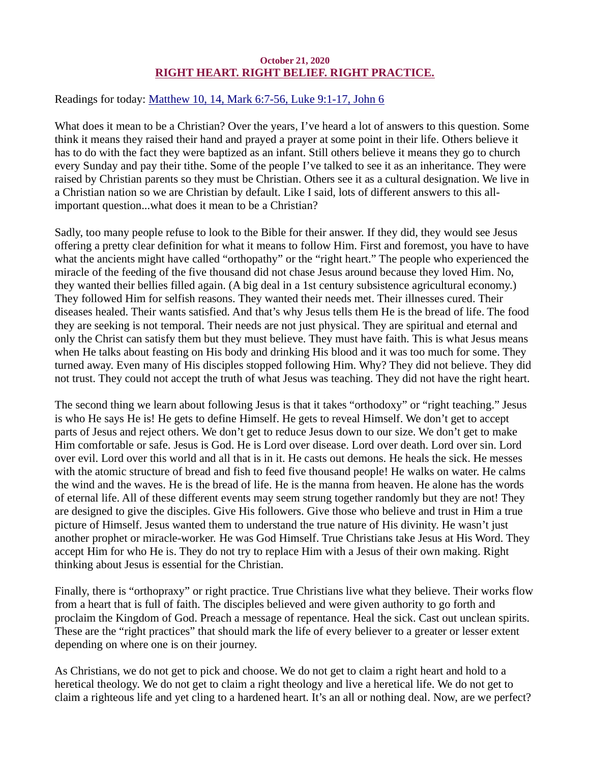### October 21, 2020 RIGHT HEART. RIGHT BELIEF. RIGHT PRACTICE.

## <span id="page-20-0"></span>[Readings for today: Matthew 10, 14, Mark 6:7-56, Luke 9:1-17, John 6](https://www.biblegateway.com/passage/?search=Matthew+10%2C+14%2C+Mark+6%3A7-56%2C+Luke+9%3A1-17%2C+John+6&version=ESV)

What does it mean to be a Christian? Over the years, I've heard a lot of answers to this question. Some think it means they raised their hand and prayed a prayer at some point in their life. Others believe it has to do with the fact they were baptized as an infant. Still others believe it means they go to church every Sunday and pay their tithe. Some of the people I've talked to see it as an inheritance. They were raised by Christian parents so they must be Christian. Others see it as a cultural designation. We live in a Christian nation so we are Christian by default. Like I said, lots of different answers to this allimportant question...what does it mean to be a Christian?

Sadly, too many people refuse to look to the Bible for their answer. If they did, they would see Jesus offering a pretty clear definition for what it means to follow Him. First and foremost, you have to have what the ancients might have called "orthopathy" or the "right heart." The people who experienced the miracle of the feeding of the five thousand did not chase Jesus around because they loved Him. No, they wanted their bellies filled again. (A big deal in a 1st century subsistence agricultural economy.) They followed Him for selfish reasons. They wanted their needs met. Their illnesses cured. Their diseases healed. Their wants satisfied. And that's why Jesus tells them He is the bread of life. The food they are seeking is not temporal. Their needs are not just physical. They are spiritual and eternal and only the Christ can satisfy them but they must believe. They must have faith. This is what Jesus means when He talks about feasting on His body and drinking His blood and it was too much for some. They turned away. Even many of His disciples stopped following Him. Why? They did not believe. They did not trust. They could not accept the truth of what Jesus was teaching. They did not have the right heart.

The second thing we learn about following Jesus is that it takes "orthodoxy" or "right teaching." Jesus is who He says He is! He gets to define Himself. He gets to reveal Himself. We don't get to accept parts of Jesus and reject others. We don't get to reduce Jesus down to our size. We don't get to make Him comfortable or safe. Jesus is God. He is Lord over disease. Lord over death. Lord over sin. Lord over evil. Lord over this world and all that is in it. He casts out demons. He heals the sick. He messes with the atomic structure of bread and fish to feed five thousand people! He walks on water. He calms the wind and the waves. He is the bread of life. He is the manna from heaven. He alone has the words of eternal life. All of these different events may seem strung together randomly but they are not! They are designed to give the disciples. Give His followers. Give those who believe and trust in Him a true picture of Himself. Jesus wanted them to understand the true nature of His divinity. He wasn't just another prophet or miracle-worker. He was God Himself. True Christians take Jesus at His Word. They accept Him for who He is. They do not try to replace Him with a Jesus of their own making. Right thinking about Jesus is essential for the Christian.

Finally, there is "orthopraxy" or right practice. True Christians live what they believe. Their works flow from a heart that is full of faith. The disciples believed and were given authority to go forth and proclaim the Kingdom of God. Preach a message of repentance. Heal the sick. Cast out unclean spirits. These are the "right practices" that should mark the life of every believer to a greater or lesser extent depending on where one is on their journey.

As Christians, we do not get to pick and choose. We do not get to claim a right heart and hold to a heretical theology. We do not get to claim a right theology and live a heretical life. We do not get to claim a righteous life and yet cling to a hardened heart. It's an all or nothing deal. Now, are we perfect?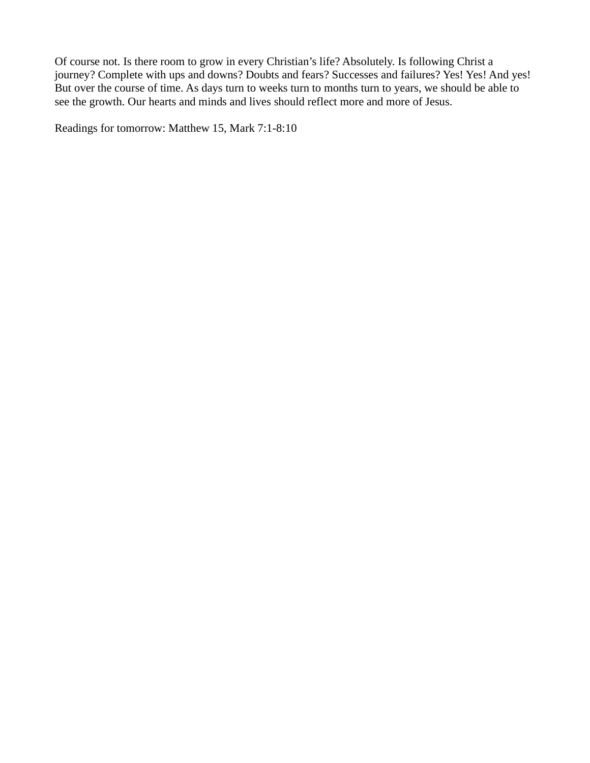Of course not. Is there room to grow in every Christian's life? Absolutely. Is following Christ a journey? Complete with ups and downs? Doubts and fears? Successes and failures? Yes! Yes! And yes! But over the course of time. As days turn to weeks turn to months turn to years, we should be able to see the growth. Our hearts and minds and lives should reflect more and more of Jesus.

Readings for tomorrow: Matthew 15, Mark 7:1-8:10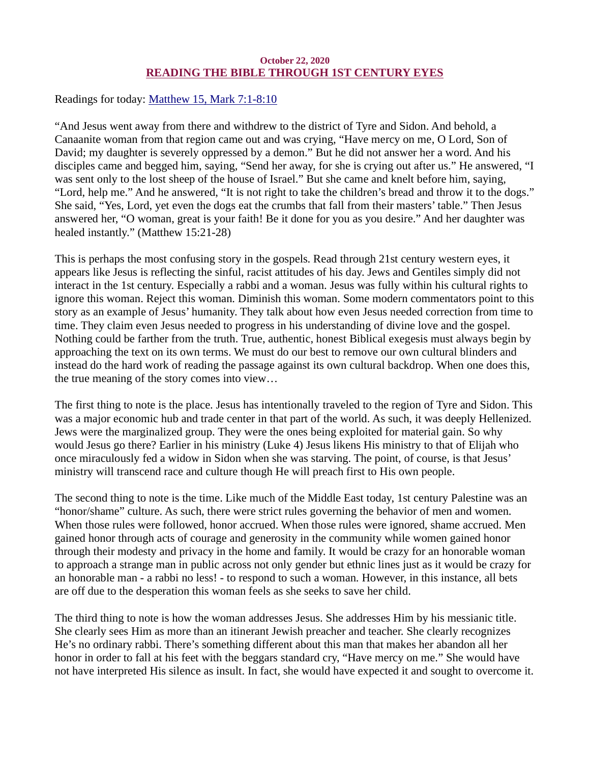### October 22, 2020 READING THE BIBLE THROUGH 1ST CENTURY EYES

<span id="page-22-0"></span>[Readings for today: Matthew 15, Mark 7:1-8:10](https://www.biblegateway.com/passage/?search=Matthew+15%2C+Mark+7%3A1-8%3A10&version=ESV)

"And Jesus went away from there and withdrew to the district of Tyre and Sidon. And behold, a Canaanite woman from that region came out and was crying, "Have mercy on me, O Lord, Son of David; my daughter is severely oppressed by a demon." But he did not answer her a word. And his disciples came and begged him, saying, "Send her away, for she is crying out after us." He answered, "I was sent only to the lost sheep of the house of Israel." But she came and knelt before him, saying, "Lord, help me." And he answered, "It is not right to take the children's bread and throw it to the dogs." She said, "Yes, Lord, yet even the dogs eat the crumbs that fall from their masters' table." Then Jesus answered her, "O woman, great is your faith! Be it done for you as you desire." And her daughter was healed instantly." (Matthew 15:21-28)

This is perhaps the most confusing story in the gospels. Read through 21st century western eyes, it appears like Jesus is reflecting the sinful, racist attitudes of his day. Jews and Gentiles simply did not interact in the 1st century. Especially a rabbi and a woman. Jesus was fully within his cultural rights to ignore this woman. Reject this woman. Diminish this woman. Some modern commentators point to this story as an example of Jesus' humanity. They talk about how even Jesus needed correction from time to time. They claim even Jesus needed to progress in his understanding of divine love and the gospel. Nothing could be farther from the truth. True, authentic, honest Biblical exegesis must always begin by approaching the text on its own terms. We must do our best to remove our own cultural blinders and instead do the hard work of reading the passage against its own cultural backdrop. When one does this, the true meaning of the story comes into view…

The first thing to note is the place. Jesus has intentionally traveled to the region of Tyre and Sidon. This was a major economic hub and trade center in that part of the world. As such, it was deeply Hellenized. Jews were the marginalized group. They were the ones being exploited for material gain. So why would Jesus go there? Earlier in his ministry (Luke 4) Jesus likens His ministry to that of Elijah who once miraculously fed a widow in Sidon when she was starving. The point, of course, is that Jesus' ministry will transcend race and culture though He will preach first to His own people.

The second thing to note is the time. Like much of the Middle East today, 1st century Palestine was an "honor/shame" culture. As such, there were strict rules governing the behavior of men and women. When those rules were followed, honor accrued. When those rules were ignored, shame accrued. Men gained honor through acts of courage and generosity in the community while women gained honor through their modesty and privacy in the home and family. It would be crazy for an honorable woman to approach a strange man in public across not only gender but ethnic lines just as it would be crazy for an honorable man - a rabbi no less! - to respond to such a woman. However, in this instance, all bets are off due to the desperation this woman feels as she seeks to save her child.

The third thing to note is how the woman addresses Jesus. She addresses Him by his messianic title. She clearly sees Him as more than an itinerant Jewish preacher and teacher. She clearly recognizes He's no ordinary rabbi. There's something different about this man that makes her abandon all her honor in order to fall at his feet with the beggars standard cry, "Have mercy on me." She would have not have interpreted His silence as insult. In fact, she would have expected it and sought to overcome it.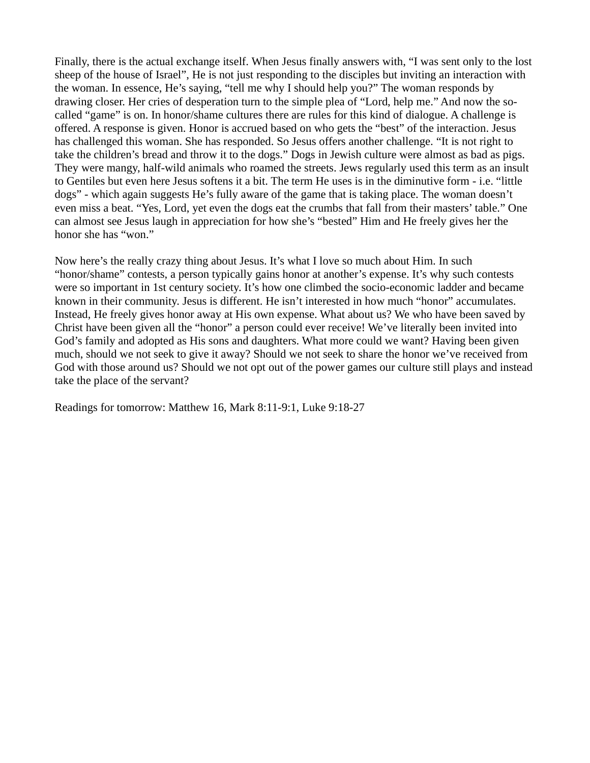Finally, there is the actual exchange itself. When Jesus finally answers with, "I was sent only to the lost sheep of the house of Israel", He is not just responding to the disciples but inviting an interaction with the woman. In essence, He's saying, "tell me why I should help you?" The woman responds by drawing closer. Her cries of desperation turn to the simple plea of "Lord, help me." And now the socalled "game" is on. In honor/shame cultures there are rules for this kind of dialogue. A challenge is offered. A response is given. Honor is accrued based on who gets the "best" of the interaction. Jesus has challenged this woman. She has responded. So Jesus offers another challenge. "It is not right to take the children's bread and throw it to the dogs." Dogs in Jewish culture were almost as bad as pigs. They were mangy, half-wild animals who roamed the streets. Jews regularly used this term as an insult to Gentiles but even here Jesus softens it a bit. The term He uses is in the diminutive form - i.e. "little dogs" - which again suggests He's fully aware of the game that is taking place. The woman doesn't even miss a beat. "Yes, Lord, yet even the dogs eat the crumbs that fall from their masters' table." One can almost see Jesus laugh in appreciation for how she's "bested" Him and He freely gives her the honor she has "won."

Now here's the really crazy thing about Jesus. It's what I love so much about Him. In such "honor/shame" contests, a person typically gains honor at another's expense. It's why such contests were so important in 1st century society. It's how one climbed the socio-economic ladder and became known in their community. Jesus is different. He isn't interested in how much "honor" accumulates. Instead, He freely gives honor away at His own expense. What about us? We who have been saved by Christ have been given all the "honor" a person could ever receive! We've literally been invited into God's family and adopted as His sons and daughters. What more could we want? Having been given much, should we not seek to give it away? Should we not seek to share the honor we've received from God with those around us? Should we not opt out of the power games our culture still plays and instead take the place of the servant?

Readings for tomorrow: Matthew 16, Mark 8:11-9:1, Luke 9:18-27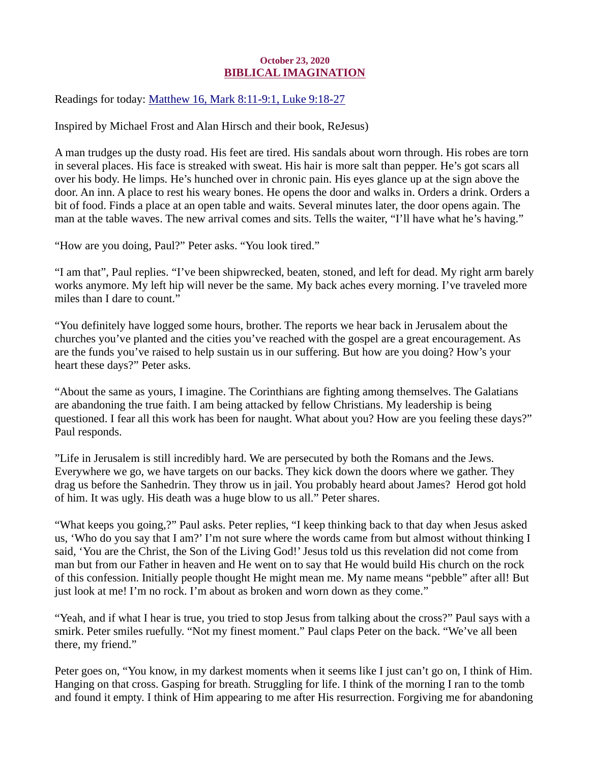### October 23, 2020 BIBLICAL IMAGINATION

[Readings for today: Matthew 16, Mark 8:11-9:1, Luke 9:18-27](https://www.biblegateway.com/passage/?search=Matthew+16%2C+Mark+8%3A11-9%3A1%2C+Luke+9%3A18-27&version=ESV)

Inspired by Michael Frost and Alan Hirsch and their book, ReJesus)

A man trudges up the dusty road. His feet are tired. His sandals about worn through. His robes are torn in several places. His face is streaked with sweat. His hair is more salt than pepper. He's got scars all over his body. He limps. He's hunched over in chronic pain. His eyes glance up at the sign above the door. An inn. A place to rest his weary bones. He opens the door and walks in. Orders a drink. Orders a bit of food. Finds a place at an open table and waits. Several minutes later, the door opens again. The man at the table waves. The new arrival comes and sits. Tells the waiter, "I'll have what he's having."

"How are you doing, Paul?" Peter asks. "You look tired."

"I am that", Paul replies. "I've been shipwrecked, beaten, stoned, and left for dead. My right arm barely works anymore. My left hip will never be the same. My back aches every morning. I've traveled more miles than I dare to count."

"You definitely have logged some hours, brother. The reports we hear back in Jerusalem about the churches you've planted and the cities you've reached with the gospel are a great encouragement. As are the funds you've raised to help sustain us in our suffering. But how are you doing? How's your heart these days?" Peter asks.

"About the same as yours, I imagine. The Corinthians are fighting among themselves. The Galatians are abandoning the true faith. I am being attacked by fellow Christians. My leadership is being questioned. I fear all this work has been for naught. What about you? How are you feeling these days?" Paul responds.

"Life in Jerusalem is still incredibly hard. We are persecuted by both the Romans and the Jews. Everywhere we go, we have targets on our backs. They kick down the doors where we gather. They drag us before the Sanhedrin. They throw us in jail. You probably heard about James? Herod got hold of him. It was ugly. His death was a huge blow to us all." Peter shares.

"What keeps you going,?" Paul asks. Peter replies, "I keep thinking back to that day when Jesus asked us, 'Who do you say that I am?' I'm not sure where the words came from but almost without thinking I said, 'You are the Christ, the Son of the Living God!' Jesus told us this revelation did not come from man but from our Father in heaven and He went on to say that He would build His church on the rock of this confession. Initially people thought He might mean me. My name means "pebble" after all! But just look at me! I'm no rock. I'm about as broken and worn down as they come."

"Yeah, and if what I hear is true, you tried to stop Jesus from talking about the cross?" Paul says with a smirk. Peter smiles ruefully. "Not my finest moment." Paul claps Peter on the back. "We've all been there, my friend."

Peter goes on, "You know, in my darkest moments when it seems like I just can't go on, I think of Him. Hanging on that cross. Gasping for breath. Struggling for life. I think of the morning I ran to the tomb and found it empty. I think of Him appearing to me after His resurrection. Forgiving me for abandoning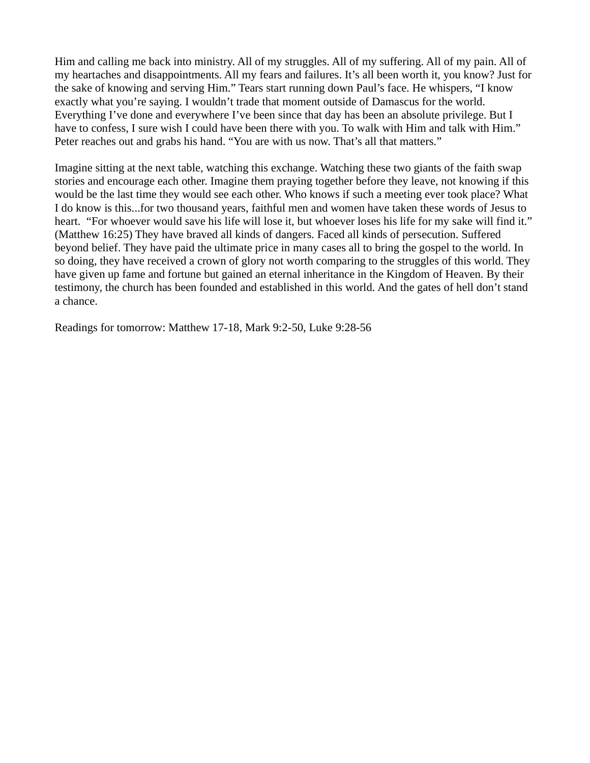Him and calling me back into ministry. All of my struggles. All of my suffering. All of my pain. All of my heartaches and disappointments. All my fears and failures. It's all been worth it, you know? Just for the sake of knowing and serving Him." Tears start running down Paul's face. He whispers, "I know exactly what you're saying. I wouldn't trade that moment outside of Damascus for the world. Everything I've done and everywhere I've been since that day has been an absolute privilege. But I have to confess, I sure wish I could have been there with you. To walk with Him and talk with Him." Peter reaches out and grabs his hand. "You are with us now. That's all that matters."

Imagine sitting at the next table, watching this exchange. Watching these two giants of the faith swap stories and encourage each other. Imagine them praying together before they leave, not knowing if this would be the last time they would see each other. Who knows if such a meeting ever took place? What I do know is this...for two thousand years, faithful men and women have taken these words of Jesus to heart. "For whoever would save his life will lose it, but whoever loses his life for my sake will find it." (Matthew 16:25) They have braved all kinds of dangers. Faced all kinds of persecution. Suffered beyond belief. They have paid the ultimate price in many cases all to bring the gospel to the world. In so doing, they have received a crown of glory not worth comparing to the struggles of this world. They have given up fame and fortune but gained an eternal inheritance in the Kingdom of Heaven. By their testimony, the church has been founded and established in this world. And the gates of hell don't stand a chance.

Readings for tomorrow: Matthew 17-18, Mark 9:2-50, Luke 9:28-56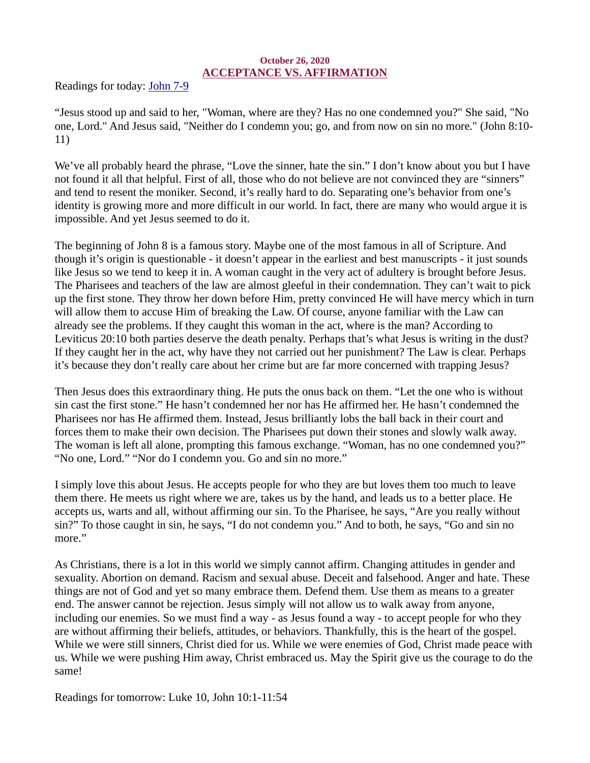### October 26, 2020 ACCEPTANCE VS. AFFIRMATION

<span id="page-26-0"></span>[Readings for today: John 7-9](https://www.biblegateway.com/passage/?search=John+7-9&version=ESV)

"Jesus stood up and said to her, "Woman, where are they? Has no one condemned you?" She said, "No one, Lord." And Jesus said, "Neither do I condemn you; go, and from now on sin no more." (John 8:10- 11)

We've all probably heard the phrase, "Love the sinner, hate the sin." I don't know about you but I have not found it all that helpful. First of all, those who do not believe are not convinced they are "sinners" and tend to resent the moniker. Second, it's really hard to do. Separating one's behavior from one's identity is growing more and more difficult in our world. In fact, there are many who would argue it is impossible. And yet Jesus seemed to do it.

The beginning of John 8 is a famous story. Maybe one of the most famous in all of Scripture. And though it's origin is questionable - it doesn't appear in the earliest and best manuscripts - it just sounds like Jesus so we tend to keep it in. A woman caught in the very act of adultery is brought before Jesus. The Pharisees and teachers of the law are almost gleeful in their condemnation. They can't wait to pick up the first stone. They throw her down before Him, pretty convinced He will have mercy which in turn will allow them to accuse Him of breaking the Law. Of course, anyone familiar with the Law can already see the problems. If they caught this woman in the act, where is the man? According to Leviticus 20:10 both parties deserve the death penalty. Perhaps that's what Jesus is writing in the dust? If they caught her in the act, why have they not carried out her punishment? The Law is clear. Perhaps it's because they don't really care about her crime but are far more concerned with trapping Jesus?

Then Jesus does this extraordinary thing. He puts the onus back on them. "Let the one who is without sin cast the first stone." He hasn't condemned her nor has He affirmed her. He hasn't condemned the Pharisees nor has He affirmed them. Instead, Jesus brilliantly lobs the ball back in their court and forces them to make their own decision. The Pharisees put down their stones and slowly walk away. The woman is left all alone, prompting this famous exchange. "Woman, has no one condemned you?" "No one, Lord." "Nor do I condemn you. Go and sin no more."

I simply love this about Jesus. He accepts people for who they are but loves them too much to leave them there. He meets us right where we are, takes us by the hand, and leads us to a better place. He accepts us, warts and all, without affirming our sin. To the Pharisee, he says, "Are you really without sin?" To those caught in sin, he says, "I do not condemn you." And to both, he says, "Go and sin no more."

As Christians, there is a lot in this world we simply cannot affirm. Changing attitudes in gender and sexuality. Abortion on demand. Racism and sexual abuse. Deceit and falsehood. Anger and hate. These things are not of God and yet so many embrace them. Defend them. Use them as means to a greater end. The answer cannot be rejection. Jesus simply will not allow us to walk away from anyone, including our enemies. So we must find a way - as Jesus found a way - to accept people for who they are without affirming their beliefs, attitudes, or behaviors. Thankfully, this is the heart of the gospel. While we were still sinners, Christ died for us. While we were enemies of God, Christ made peace with us. While we were pushing Him away, Christ embraced us. May the Spirit give us the courage to do the same!

Readings for tomorrow: Luke 10, John 10:1-11:54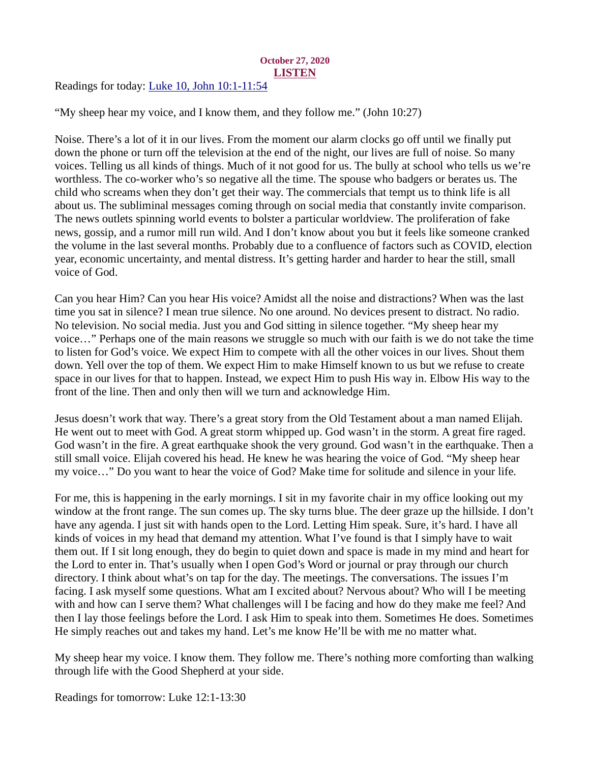#### October 27, 2020 LISTEN

<span id="page-27-0"></span>[Readings for today: Luke 10, John 10:1-11:54](https://www.biblegateway.com/passage/?search=Luke+10%2C+John+10%3A1-11%3A54&version=ESV)

"My sheep hear my voice, and I know them, and they follow me." (John 10:27)

Noise. There's a lot of it in our lives. From the moment our alarm clocks go off until we finally put down the phone or turn off the television at the end of the night, our lives are full of noise. So many voices. Telling us all kinds of things. Much of it not good for us. The bully at school who tells us we're worthless. The co-worker who's so negative all the time. The spouse who badgers or berates us. The child who screams when they don't get their way. The commercials that tempt us to think life is all about us. The subliminal messages coming through on social media that constantly invite comparison. The news outlets spinning world events to bolster a particular worldview. The proliferation of fake news, gossip, and a rumor mill run wild. And I don't know about you but it feels like someone cranked the volume in the last several months. Probably due to a confluence of factors such as COVID, election year, economic uncertainty, and mental distress. It's getting harder and harder to hear the still, small voice of God.

Can you hear Him? Can you hear His voice? Amidst all the noise and distractions? When was the last time you sat in silence? I mean true silence. No one around. No devices present to distract. No radio. No television. No social media. Just you and God sitting in silence together. "My sheep hear my voice…" Perhaps one of the main reasons we struggle so much with our faith is we do not take the time to listen for God's voice. We expect Him to compete with all the other voices in our lives. Shout them down. Yell over the top of them. We expect Him to make Himself known to us but we refuse to create space in our lives for that to happen. Instead, we expect Him to push His way in. Elbow His way to the front of the line. Then and only then will we turn and acknowledge Him.

Jesus doesn't work that way. There's a great story from the Old Testament about a man named Elijah. He went out to meet with God. A great storm whipped up. God wasn't in the storm. A great fire raged. God wasn't in the fire. A great earthquake shook the very ground. God wasn't in the earthquake. Then a still small voice. Elijah covered his head. He knew he was hearing the voice of God. "My sheep hear my voice…" Do you want to hear the voice of God? Make time for solitude and silence in your life.

For me, this is happening in the early mornings. I sit in my favorite chair in my office looking out my window at the front range. The sun comes up. The sky turns blue. The deer graze up the hillside. I don't have any agenda. I just sit with hands open to the Lord. Letting Him speak. Sure, it's hard. I have all kinds of voices in my head that demand my attention. What I've found is that I simply have to wait them out. If I sit long enough, they do begin to quiet down and space is made in my mind and heart for the Lord to enter in. That's usually when I open God's Word or journal or pray through our church directory. I think about what's on tap for the day. The meetings. The conversations. The issues I'm facing. I ask myself some questions. What am I excited about? Nervous about? Who will I be meeting with and how can I serve them? What challenges will I be facing and how do they make me feel? And then I lay those feelings before the Lord. I ask Him to speak into them. Sometimes He does. Sometimes He simply reaches out and takes my hand. Let's me know He'll be with me no matter what.

My sheep hear my voice. I know them. They follow me. There's nothing more comforting than walking through life with the Good Shepherd at your side.

Readings for tomorrow: Luke 12:1-13:30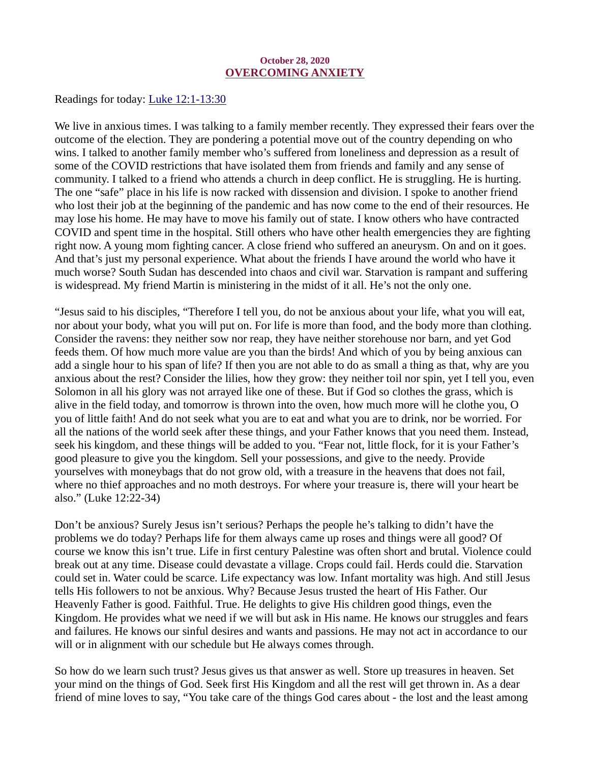#### October 28, 2020 OVERCOMING ANXIETY

<span id="page-28-0"></span>Readings for today: **Luke 12:1-13:30** 

We live in anxious times. I was talking to a family member recently. They expressed their fears over the outcome of the election. They are pondering a potential move out of the country depending on who wins. I talked to another family member who's suffered from loneliness and depression as a result of some of the COVID restrictions that have isolated them from friends and family and any sense of community. I talked to a friend who attends a church in deep conflict. He is struggling. He is hurting. The one "safe" place in his life is now racked with dissension and division. I spoke to another friend who lost their job at the beginning of the pandemic and has now come to the end of their resources. He may lose his home. He may have to move his family out of state. I know others who have contracted COVID and spent time in the hospital. Still others who have other health emergencies they are fighting right now. A young mom fighting cancer. A close friend who suffered an aneurysm. On and on it goes. And that's just my personal experience. What about the friends I have around the world who have it much worse? South Sudan has descended into chaos and civil war. Starvation is rampant and suffering is widespread. My friend Martin is ministering in the midst of it all. He's not the only one.

"Jesus said to his disciples, "Therefore I tell you, do not be anxious about your life, what you will eat, nor about your body, what you will put on. For life is more than food, and the body more than clothing. Consider the ravens: they neither sow nor reap, they have neither storehouse nor barn, and yet God feeds them. Of how much more value are you than the birds! And which of you by being anxious can add a single hour to his span of life? If then you are not able to do as small a thing as that, why are you anxious about the rest? Consider the lilies, how they grow: they neither toil nor spin, yet I tell you, even Solomon in all his glory was not arrayed like one of these. But if God so clothes the grass, which is alive in the field today, and tomorrow is thrown into the oven, how much more will he clothe you, O you of little faith! And do not seek what you are to eat and what you are to drink, nor be worried. For all the nations of the world seek after these things, and your Father knows that you need them. Instead, seek his kingdom, and these things will be added to you. "Fear not, little flock, for it is your Father's good pleasure to give you the kingdom. Sell your possessions, and give to the needy. Provide yourselves with moneybags that do not grow old, with a treasure in the heavens that does not fail, where no thief approaches and no moth destroys. For where your treasure is, there will your heart be also." (Luke 12:22-34)

Don't be anxious? Surely Jesus isn't serious? Perhaps the people he's talking to didn't have the problems we do today? Perhaps life for them always came up roses and things were all good? Of course we know this isn't true. Life in first century Palestine was often short and brutal. Violence could break out at any time. Disease could devastate a village. Crops could fail. Herds could die. Starvation could set in. Water could be scarce. Life expectancy was low. Infant mortality was high. And still Jesus tells His followers to not be anxious. Why? Because Jesus trusted the heart of His Father. Our Heavenly Father is good. Faithful. True. He delights to give His children good things, even the Kingdom. He provides what we need if we will but ask in His name. He knows our struggles and fears and failures. He knows our sinful desires and wants and passions. He may not act in accordance to our will or in alignment with our schedule but He always comes through.

So how do we learn such trust? Jesus gives us that answer as well. Store up treasures in heaven. Set your mind on the things of God. Seek first His Kingdom and all the rest will get thrown in. As a dear friend of mine loves to say, "You take care of the things God cares about - the lost and the least among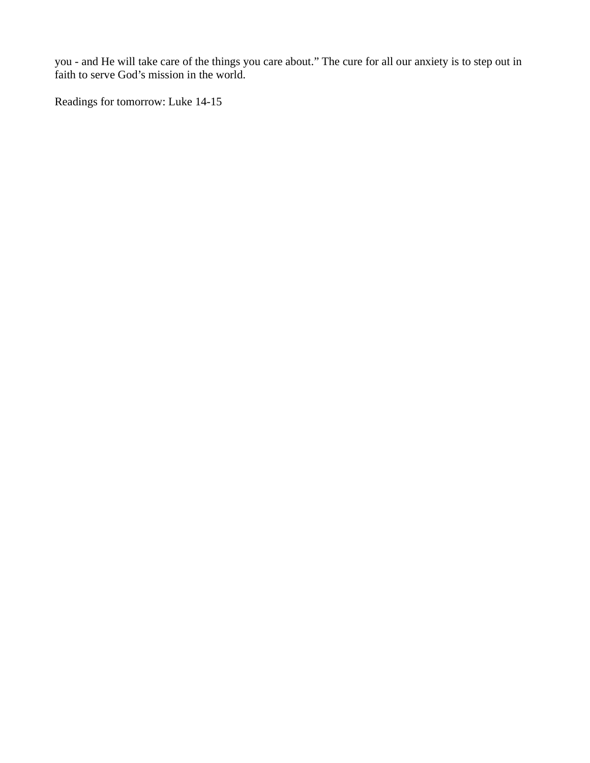you - and He will take care of the things you care about." The cure for all our anxiety is to step out in faith to serve God's mission in the world.

Readings for tomorrow: Luke 14-15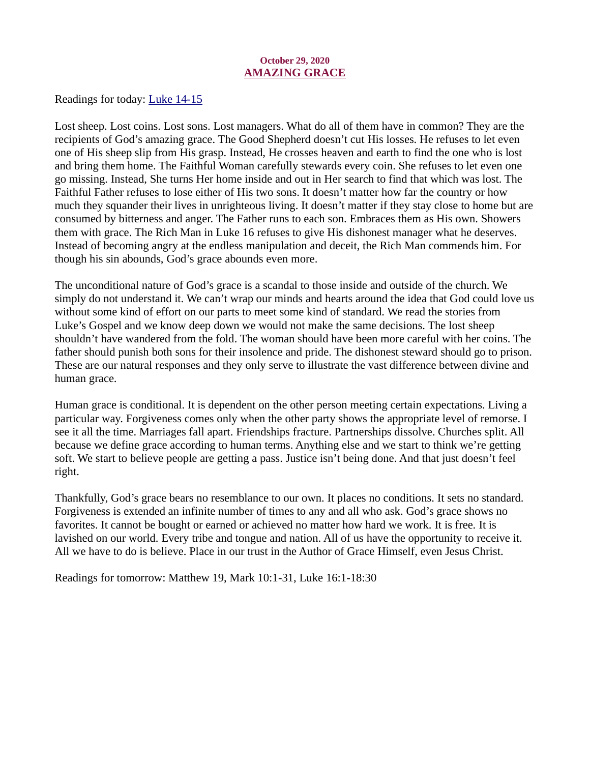#### October 29, 2020 AMAZING GRACE

<span id="page-30-0"></span>Readings for today: **Luke 14-15** 

Lost sheep. Lost coins. Lost sons. Lost managers. What do all of them have in common? They are the recipients of God's amazing grace. The Good Shepherd doesn't cut His losses. He refuses to let even one of His sheep slip from His grasp. Instead, He crosses heaven and earth to find the one who is lost and bring them home. The Faithful Woman carefully stewards every coin. She refuses to let even one go missing. Instead, She turns Her home inside and out in Her search to find that which was lost. The Faithful Father refuses to lose either of His two sons. It doesn't matter how far the country or how much they squander their lives in unrighteous living. It doesn't matter if they stay close to home but are consumed by bitterness and anger. The Father runs to each son. Embraces them as His own. Showers them with grace. The Rich Man in Luke 16 refuses to give His dishonest manager what he deserves. Instead of becoming angry at the endless manipulation and deceit, the Rich Man commends him. For though his sin abounds, God's grace abounds even more.

The unconditional nature of God's grace is a scandal to those inside and outside of the church. We simply do not understand it. We can't wrap our minds and hearts around the idea that God could love us without some kind of effort on our parts to meet some kind of standard. We read the stories from Luke's Gospel and we know deep down we would not make the same decisions. The lost sheep shouldn't have wandered from the fold. The woman should have been more careful with her coins. The father should punish both sons for their insolence and pride. The dishonest steward should go to prison. These are our natural responses and they only serve to illustrate the vast difference between divine and human grace.

Human grace is conditional. It is dependent on the other person meeting certain expectations. Living a particular way. Forgiveness comes only when the other party shows the appropriate level of remorse. I see it all the time. Marriages fall apart. Friendships fracture. Partnerships dissolve. Churches split. All because we define grace according to human terms. Anything else and we start to think we're getting soft. We start to believe people are getting a pass. Justice isn't being done. And that just doesn't feel right.

Thankfully, God's grace bears no resemblance to our own. It places no conditions. It sets no standard. Forgiveness is extended an infinite number of times to any and all who ask. God's grace shows no favorites. It cannot be bought or earned or achieved no matter how hard we work. It is free. It is lavished on our world. Every tribe and tongue and nation. All of us have the opportunity to receive it. All we have to do is believe. Place in our trust in the Author of Grace Himself, even Jesus Christ.

Readings for tomorrow: Matthew 19, Mark 10:1-31, Luke 16:1-18:30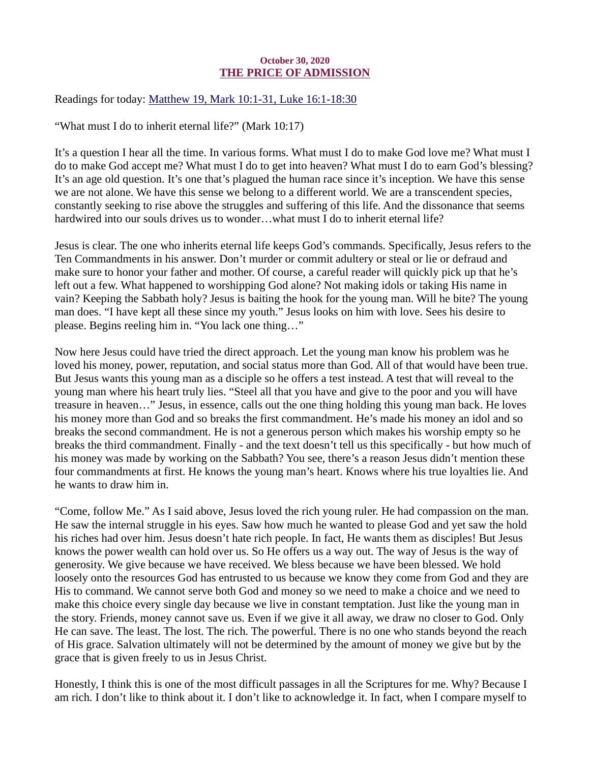### October 30, 2020 THE PRICE OF ADMISSION

<span id="page-31-0"></span>[Readings for today: Matthew 19, Mark 10:1-31, Luke 16:1-18:30](https://www.biblegateway.com/passage/?search=Matthew+19%2C+Mark+10%3A1-31%2C+Luke+16%3A1-18%3A30&version=ESV)

"What must I do to inherit eternal life?" (Mark 10:17)

It's a question I hear all the time. In various forms. What must I do to make God love me? What must I do to make God accept me? What must I do to get into heaven? What must I do to earn God's blessing? It's an age old question. It's one that's plagued the human race since it's inception. We have this sense we are not alone. We have this sense we belong to a different world. We are a transcendent species, constantly seeking to rise above the struggles and suffering of this life. And the dissonance that seems hardwired into our souls drives us to wonder…what must I do to inherit eternal life?

Jesus is clear. The one who inherits eternal life keeps God's commands. Specifically, Jesus refers to the Ten Commandments in his answer. Don't murder or commit adultery or steal or lie or defraud and make sure to honor your father and mother. Of course, a careful reader will quickly pick up that he's left out a few. What happened to worshipping God alone? Not making idols or taking His name in vain? Keeping the Sabbath holy? Jesus is baiting the hook for the young man. Will he bite? The young man does. "I have kept all these since my youth." Jesus looks on him with love. Sees his desire to please. Begins reeling him in. "You lack one thing…"

Now here Jesus could have tried the direct approach. Let the young man know his problem was he loved his money, power, reputation, and social status more than God. All of that would have been true. But Jesus wants this young man as a disciple so he offers a test instead. A test that will reveal to the young man where his heart truly lies. "Steel all that you have and give to the poor and you will have treasure in heaven…" Jesus, in essence, calls out the one thing holding this young man back. He loves his money more than God and so breaks the first commandment. He's made his money an idol and so breaks the second commandment. He is not a generous person which makes his worship empty so he breaks the third commandment. Finally - and the text doesn't tell us this specifically - but how much of his money was made by working on the Sabbath? You see, there's a reason Jesus didn't mention these four commandments at first. He knows the young man's heart. Knows where his true loyalties lie. And he wants to draw him in.

"Come, follow Me." As I said above, Jesus loved the rich young ruler. He had compassion on the man. He saw the internal struggle in his eyes. Saw how much he wanted to please God and yet saw the hold his riches had over him. Jesus doesn't hate rich people. In fact, He wants them as disciples! But Jesus knows the power wealth can hold over us. So He offers us a way out. The way of Jesus is the way of generosity. We give because we have received. We bless because we have been blessed. We hold loosely onto the resources God has entrusted to us because we know they come from God and they are His to command. We cannot serve both God and money so we need to make a choice and we need to make this choice every single day because we live in constant temptation. Just like the young man in the story. Friends, money cannot save us. Even if we give it all away, we draw no closer to God. Only He can save. The least. The lost. The rich. The powerful. There is no one who stands beyond the reach of His grace. Salvation ultimately will not be determined by the amount of money we give but by the grace that is given freely to us in Jesus Christ.

Honestly, I think this is one of the most difficult passages in all the Scriptures for me. Why? Because I am rich. I don't like to think about it. I don't like to acknowledge it. In fact, when I compare myself to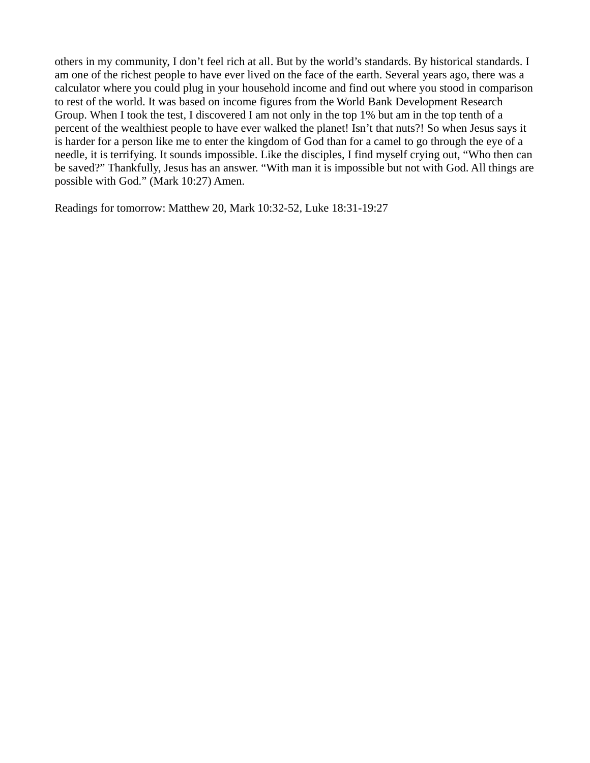others in my community, I don't feel rich at all. But by the world's standards. By historical standards. I am one of the richest people to have ever lived on the face of the earth. Several years ago, there was a calculator where you could plug in your household income and find out where you stood in comparison to rest of the world. It was based on income figures from the World Bank Development Research Group. When I took the test, I discovered I am not only in the top 1% but am in the top tenth of a percent of the wealthiest people to have ever walked the planet! Isn't that nuts?! So when Jesus says it is harder for a person like me to enter the kingdom of God than for a camel to go through the eye of a needle, it is terrifying. It sounds impossible. Like the disciples, I find myself crying out, "Who then can be saved?" Thankfully, Jesus has an answer. "With man it is impossible but not with God. All things are possible with God." (Mark 10:27) Amen.

Readings for tomorrow: Matthew 20, Mark 10:32-52, Luke 18:31-19:27